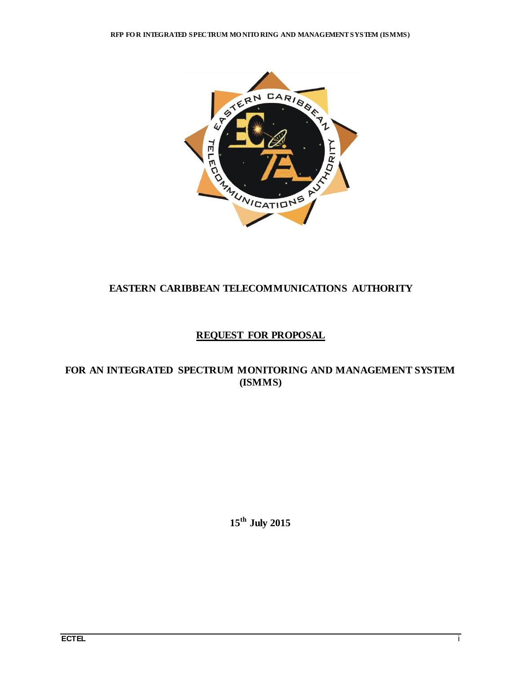

# **EASTERN CARIBBEAN TELECOMMUNICATIONS AUTHORITY**

# **REQUEST FOR PROPOSAL**

# **FOR AN INTEGRATED SPECTRUM MONITORING AND MANAGEMENT SYSTEM (ISMMS)**

**15 th July 2015**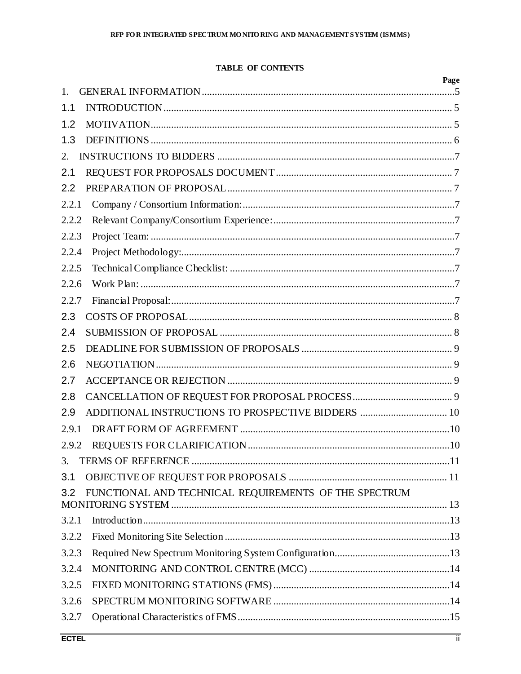# **TABLE OF CONTENTS**

|       | <u> 1980 - Andrea Barbara, amerikan basar dan berasal dalam berasal dalam basa dalam basa dalam berasal dalam ba</u> | rage |
|-------|----------------------------------------------------------------------------------------------------------------------|------|
| 1.    |                                                                                                                      |      |
| 1.1   |                                                                                                                      |      |
| 1.2   |                                                                                                                      |      |
| 1.3   |                                                                                                                      |      |
| 2.    |                                                                                                                      |      |
| 2.1   |                                                                                                                      |      |
| 2.2   |                                                                                                                      |      |
| 2.2.1 |                                                                                                                      |      |
| 2.2.2 |                                                                                                                      |      |
| 2.2.3 |                                                                                                                      |      |
| 2.2.4 |                                                                                                                      |      |
| 2.2.5 |                                                                                                                      |      |
| 2.2.6 |                                                                                                                      |      |
| 2.2.7 |                                                                                                                      |      |
| 2.3   |                                                                                                                      |      |
| 2.4   |                                                                                                                      |      |
| 2.5   |                                                                                                                      |      |
| 2.6   |                                                                                                                      |      |
| 2.7   |                                                                                                                      |      |
| 2.8   |                                                                                                                      |      |
| 2.9   | ADDITIONAL INSTRUCTIONS TO PROSPECTIVE BIDDERS  10                                                                   |      |
| 2.9.1 |                                                                                                                      |      |
| 2.9.2 |                                                                                                                      |      |
| 3.    |                                                                                                                      |      |
| 3.1   |                                                                                                                      |      |
| 3.2   | FUNCTIONAL AND TECHNICAL REQUIREMENTS OF THE SPECTRUM                                                                |      |
|       |                                                                                                                      |      |
| 3.2.1 |                                                                                                                      |      |
| 3.2.2 |                                                                                                                      |      |
| 3.2.3 |                                                                                                                      |      |
| 3.2.4 |                                                                                                                      |      |
| 3.2.5 |                                                                                                                      |      |
| 3.2.6 |                                                                                                                      |      |
| 3.2.7 |                                                                                                                      |      |

 $\mathbf{n}$ .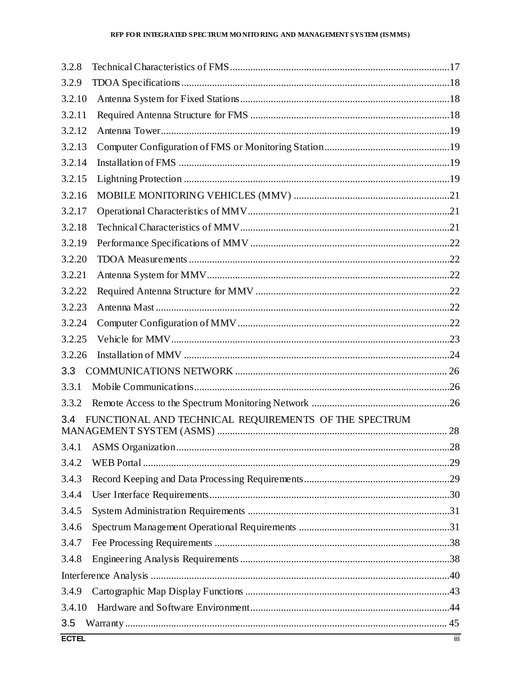| 3.2.8  |                                                       |  |
|--------|-------------------------------------------------------|--|
| 3.2.9  |                                                       |  |
| 3.2.10 |                                                       |  |
| 3.2.11 |                                                       |  |
| 3.2.12 |                                                       |  |
| 3.2.13 |                                                       |  |
| 3.2.14 |                                                       |  |
| 3.2.15 |                                                       |  |
| 3.2.16 |                                                       |  |
| 3.2.17 |                                                       |  |
| 3.2.18 |                                                       |  |
| 3.2.19 |                                                       |  |
| 3.2.20 |                                                       |  |
| 3.2.21 |                                                       |  |
| 3.2.22 |                                                       |  |
| 3.2.23 |                                                       |  |
| 3.2.24 |                                                       |  |
| 3.2.25 |                                                       |  |
| 3.2.26 |                                                       |  |
| 3.3    |                                                       |  |
| 3.3.1  |                                                       |  |
| 3.3.2  |                                                       |  |
| 3.4    | FUNCTIONAL AND TECHNICAL REQUIREMENTS OF THE SPECTRUM |  |
|        |                                                       |  |
|        |                                                       |  |
| 3.4.2  |                                                       |  |
| 3.4.3  |                                                       |  |
| 3.4.4  |                                                       |  |
| 3.4.5  |                                                       |  |
| 3.4.6  |                                                       |  |
| 3.4.7  |                                                       |  |
| 3.4.8  |                                                       |  |
|        |                                                       |  |
| 3.4.9  |                                                       |  |
| 3.4.10 |                                                       |  |
| 3.5    |                                                       |  |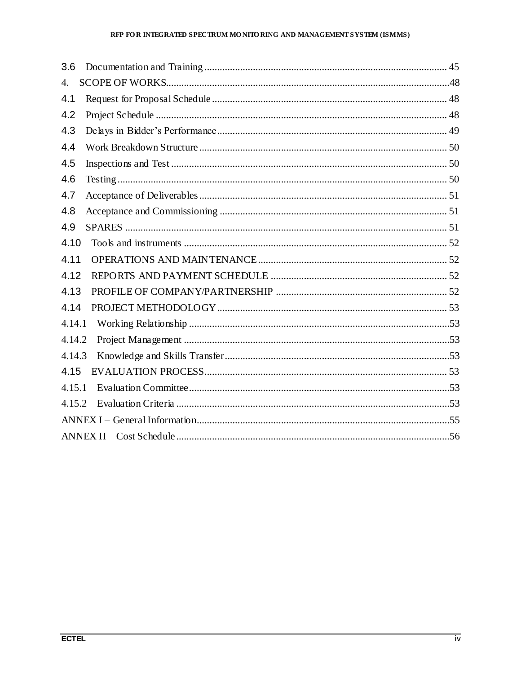# RFP FOR INTEGRATED SPECTRUM MONITORING AND MANAGEMENT SYSTEM (ISMMS)

| 3.6                  |  |  |  |
|----------------------|--|--|--|
| $\mathbf{4}_{\cdot}$ |  |  |  |
| 4.1                  |  |  |  |
| 4.2                  |  |  |  |
| 4.3                  |  |  |  |
| 4.4                  |  |  |  |
| 4.5                  |  |  |  |
| 4.6                  |  |  |  |
| 4.7                  |  |  |  |
| 4.8                  |  |  |  |
| 4.9                  |  |  |  |
| 4.10                 |  |  |  |
| 4.11                 |  |  |  |
| 4.12                 |  |  |  |
| 4.13                 |  |  |  |
| 4.14                 |  |  |  |
| 4.14.1               |  |  |  |
| 4.14.2               |  |  |  |
| 4.14.3               |  |  |  |
| 4.15                 |  |  |  |
| 4.15.1               |  |  |  |
| 4.15.2               |  |  |  |
|                      |  |  |  |
|                      |  |  |  |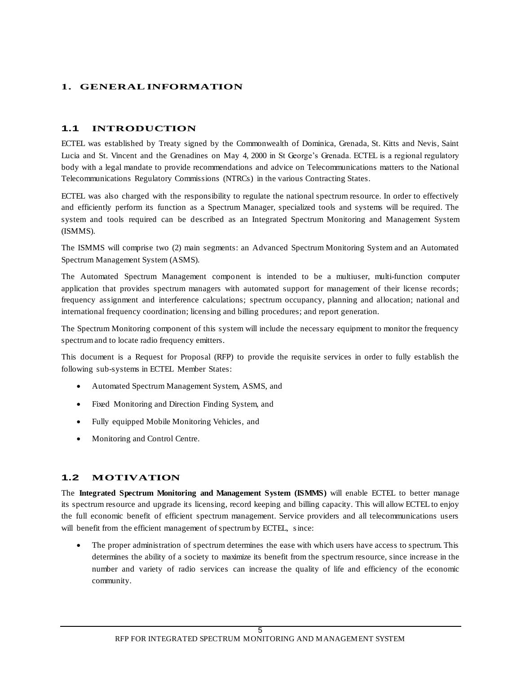# **1. GENERALINFORMATION**

# **1.1 INTRODUCTION**

ECTEL was established by Treaty signed by the Commonwealth of Dominica, Grenada, St. Kitts and Nevis, Saint Lucia and St. Vincent and the Grenadines on May 4, 2000 in St George's Grenada. ECTEL is a regional regulatory body with a legal mandate to provide recommendations and advice on Telecommunications matters to the National Telecommunications Regulatory Commissions (NTRCs) in the various Contracting States.

ECTEL was also charged with the responsibility to regulate the national spectrum resource. In order to effectively and efficiently perform its function as a Spectrum Manager, specialized tools and systems will be required. The system and tools required can be described as an Integrated Spectrum Monitoring and Management System (ISMMS).

The ISMMS will comprise two (2) main segments: an Advanced Spectrum Monitoring System and an Automated Spectrum Management System (ASMS).

The Automated Spectrum Management component is intended to be a multiuser, multi-function computer application that provides spectrum managers with automated support for management of their license records; frequency assignment and interference calculations; spectrum occupancy, planning and allocation; national and international frequency coordination; licensing and billing procedures; and report generation.

The Spectrum Monitoring component of this system will include the necessary equipment to monitor the frequency spectrum and to locate radio frequency emitters.

This document is a Request for Proposal (RFP) to provide the requisite services in order to fully establish the following sub-systems in ECTEL Member States:

- Automated Spectrum Management System, ASMS, and
- Fixed Monitoring and Direction Finding System, and
- Fully equipped Mobile Monitoring Vehicles, and
- Monitoring and Control Centre.

# **1.2 MOTIVATION**

The **Integrated Spectrum Monitoring and Management System (ISMMS)** will enable ECTEL to better manage its spectrum resource and upgrade its licensing, record keeping and billing capacity. This will allow ECTEL to enjoy the full economic benefit of efficient spectrum management. Service providers and all telecommunications users will benefit from the efficient management of spectrum by ECTEL, since:

 The proper administration of spectrum determines the ease with which users have access to spectrum. This determines the ability of a society to maximize its benefit from the spectrum resource, since increase in the number and variety of radio services can increase the quality of life and efficiency of the economic community.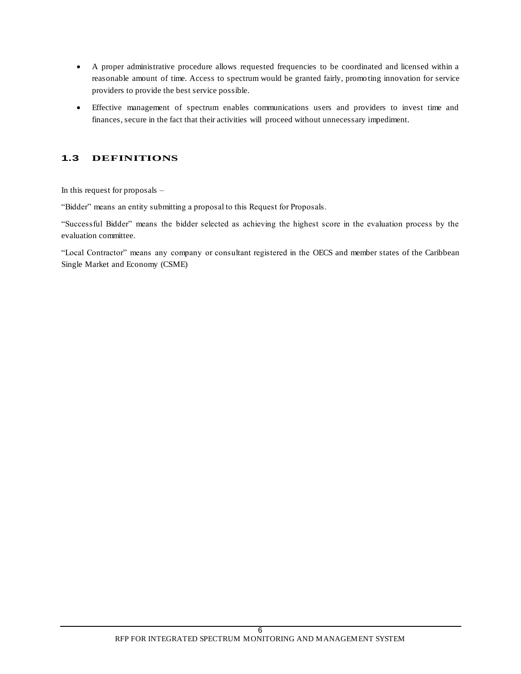- A proper administrative procedure allows requested frequencies to be coordinated and licensed within a reasonable amount of time. Access to spectrum would be granted fairly, promo ting innovation for service providers to provide the best service possible.
- Effective management of spectrum enables communications users and providers to invest time and finances, secure in the fact that their activities will proceed without unnecessary impediment.

# **1.3 DEFINITIONS**

In this request for proposals –

"Bidder" means an entity submitting a proposal to this Request for Proposals.

"Successful Bidder" means the bidder selected as achieving the highest score in the evaluation process by the evaluation committee.

"Local Contractor" means any company or consultant registered in the OECS and member states of the Caribbean Single Market and Economy (CSME)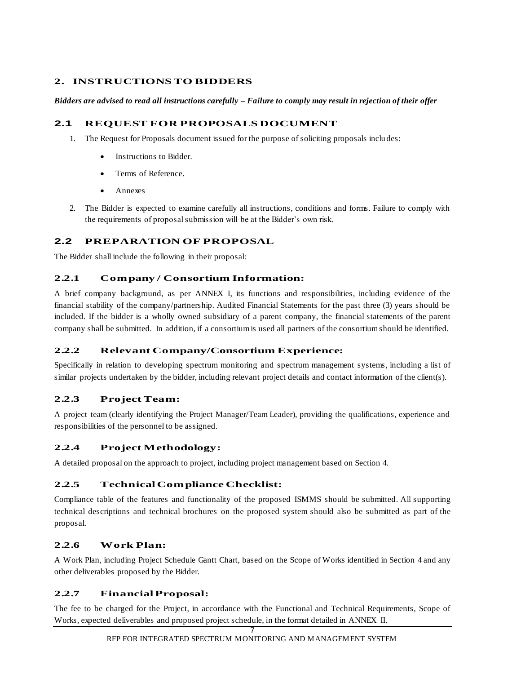# **2. INSTRUCTIONSTO BIDDERS**

*Bidders are advised to read all instructions carefully – Failure to comply may result in rejection of their offer*

# **2.1 REQUEST FOR PROPOSALS DOCUMENT**

- 1. The Request for Proposals document issued for the purpose of soliciting proposals inclu des:
	- Instructions to Bidder.
	- Terms of Reference.
	- Annexes
- 2. The Bidder is expected to examine carefully all instructions, conditions and forms. Failure to comply with the requirements of proposal submission will be at the Bidder's own risk.

# **2.2 PREPARATION OF PROPOSAL**

The Bidder shall include the following in their proposal:

# **2.2.1 Company / Consortium Information:**

A brief company background, as per ANNEX I, its functions and responsibilities, including evidence of the financial stability of the company/partnership. Audited Financial Statements for the past three (3) years should be included. If the bidder is a wholly owned subsidiary of a parent company, the financial statements of the parent company shall be submitted. In addition, if a consortium is used all partners of the consortium should be identified.

# **2.2.2 Relevant Company/Consortium Experience:**

Specifically in relation to developing spectrum monitoring and spectrum management systems, including a list of similar projects undertaken by the bidder, including relevant project details and contact information of the client(s).

# **2.2.3 Project Team:**

A project team (clearly identifying the Project Manager/Team Leader), providing the qualifications, experience and responsibilities of the personnel to be assigned.

# **2.2.4 Project Methodology:**

A detailed proposal on the approach to project, including project management based on Section 4.

# **2.2.5 Technical Compliance Checklist:**

Compliance table of the features and functionality of the proposed ISMMS should be submitted. All supporting technical descriptions and technical brochures on the proposed system should also be submitted as part of the proposal.

# **2.2.6 Work Plan:**

A Work Plan, including Project Schedule Gantt Chart, based on the Scope of Works identified in Section 4 and any other deliverables proposed by the Bidder.

# **2.2.7 Financial Proposal:**

The fee to be charged for the Project, in accordance with the Functional and Technical Requirements, Scope of Works, expected deliverables and proposed project schedule, in the format detailed in ANNEX II.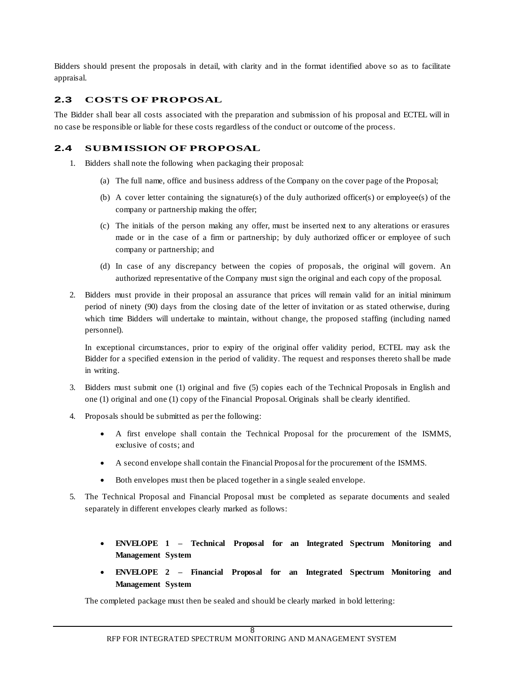Bidders should present the proposals in detail, with clarity and in the format identified above so as to facilitate appraisal.

# **2.3 COSTS OF PROPOSAL**

The Bidder shall bear all costs associated with the preparation and submission of his proposal and ECTEL will in no case be responsible or liable for these costs regardless of the conduct or outcome of the process.

### **2.4 SUBMISSION OF PROPOSAL**

- 1. Bidders shall note the following when packaging their proposal:
	- (a) The full name, office and business address of the Company on the cover page of the Proposal;
	- (b) A cover letter containing the signature(s) of the duly authorized officer(s) or employee(s) of the company or partnership making the offer;
	- (c) The initials of the person making any offer, must be inserted next to any alterations or erasures made or in the case of a firm or partnership; by duly authorized officer or employee of such company or partnership; and
	- (d) In case of any discrepancy between the copies of proposals, the original will govern. An authorized representative of the Company must sign the original and each copy of the proposal.
- 2. Bidders must provide in their proposal an assurance that prices will remain valid for an initial minimum period of ninety (90) days from the closing date of the letter of invitation or as stated otherwise, during which time Bidders will undertake to maintain, without change, the proposed staffing (including named personnel).

In exceptional circumstances, prior to expiry of the original offer validity period, ECTEL may ask the Bidder for a specified extension in the period of validity. The request and responses thereto shall be made in writing.

- 3. Bidders must submit one (1) original and five (5) copies each of the Technical Proposals in English and one (1) original and one (1) copy of the Financial Proposal. Originals shall be clearly identified.
- 4. Proposals should be submitted as per the following:
	- A first envelope shall contain the Technical Proposal for the procurement of the ISMMS, exclusive of costs; and
	- A second envelope shall contain the Financial Proposal for the procurement of the ISMMS.
	- Both envelopes must then be placed together in a single sealed envelope.
- 5. The Technical Proposal and Financial Proposal must be completed as separate documents and sealed separately in different envelopes clearly marked as follows:
	- **ENVELOPE 1 – Technical Proposal for an Integrated Spectrum Monitoring and Management System**
	- **ENVELOPE 2 – Financial Proposal for an Integrated Spectrum Monitoring and Management System**

The completed package must then be sealed and should be clearly marked in bold lettering: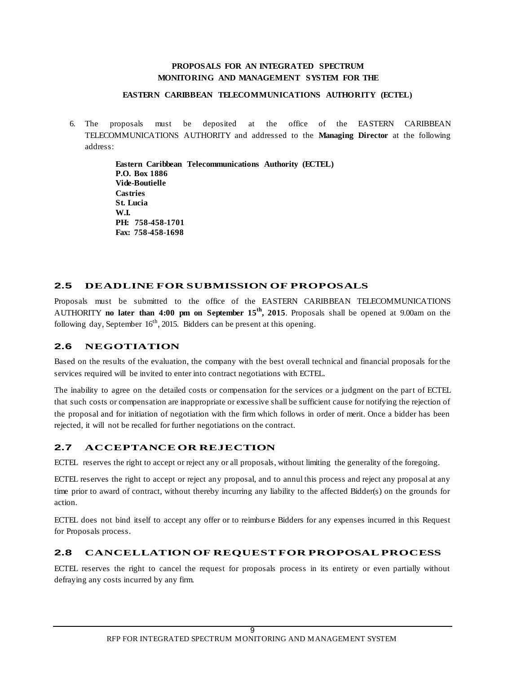### **PROPOSALS FOR AN INTEGRATED SPECTRUM MONITORING AND MANAGEMENT SYSTEM FOR THE**

#### **EASTERN CARIBBEAN TELECOMMUNICATIONS AUTHORITY (ECTEL)**

6. The proposals must be deposited at the office of the EASTERN CARIBBEAN TELECOMMUNICATIONS AUTHORITY and addressed to the **Managing Director** at the following address:

> **Eastern Caribbean Telecommunications Authority (ECTEL) P.O. Box 1886 Vide-Boutielle Castries St. Lucia W.I. PH: 758-458-1701 Fax: 758-458-1698**

# **2.5 DEADLINE FOR SUBMISSION OF PROPOSALS**

Proposals must be submitted to the office of the EASTERN CARIBBEAN TELECOMMUNICATIONS AUTHORITY **no later than 4:00 pm on September 15th, 2015**. Proposals shall be opened at 9.00am on the following day, September  $16<sup>th</sup>$ , 2015. Bidders can be present at this opening.

# **2.6 NEGOTIATION**

Based on the results of the evaluation, the company with the best overall technical and financial proposals for the services required will be invited to enter into contract negotiations with ECTEL.

The inability to agree on the detailed costs or compensation for the services or a judgment on the part of ECTEL that such costs or compensation are inappropriate or excessive shall be sufficient cause for notifying the rejection of the proposal and for initiation of negotiation with the firm which follows in order of merit. Once a bidder has been rejected, it will not be recalled for further negotiations on the contract.

# **2.7 ACCEPTANCE OR REJECTION**

ECTEL reserves the right to accept or reject any or all proposals, without limiting the generality of the foregoing.

ECTEL reserves the right to accept or reject any proposal, and to annul this process and reject any proposal at any time prior to award of contract, without thereby incurring any liability to the affected Bidder(s) on the grounds for action.

ECTEL does not bind itself to accept any offer or to reimburs e Bidders for any expenses incurred in this Request for Proposals process.

# **2.8 CANCELLATION OF REQUEST FOR PROPOSAL PROCESS**

ECTEL reserves the right to cancel the request for proposals process in its entirety or even partially without defraying any costs incurred by any firm.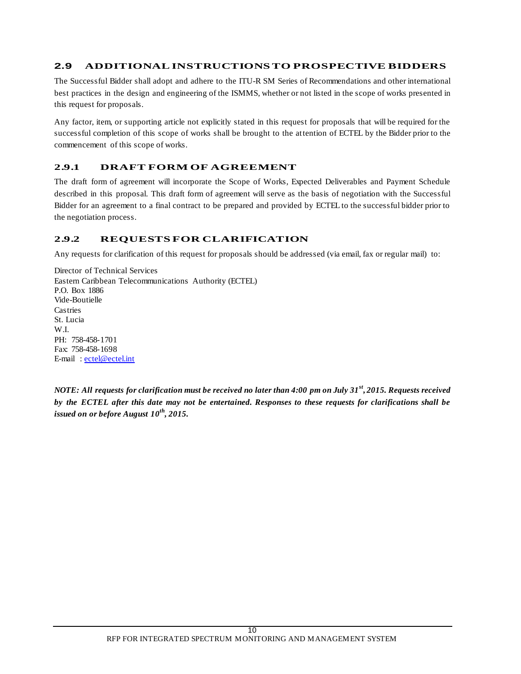# **2.9 ADDITIONAL INSTRUCTIONS TO PROSPECTIVE BIDDERS**

The Successful Bidder shall adopt and adhere to the ITU-R SM Series of Recommendations and other international best practices in the design and engineering of the ISMMS, whether or not listed in the scope of works presented in this request for proposals.

Any factor, item, or supporting article not explicitly stated in this request for proposals that will be required for the successful completion of this scope of works shall be brought to the attention of ECTEL by the Bidder prior to the commencement of this scope of works.

# **2.9.1 DRAFT FORM OF AGREEMENT**

The draft form of agreement will incorporate the Scope of Works, Expected Deliverables and Payment Schedule described in this proposal. This draft form of agreement will serve as the basis of negotiation with the Successful Bidder for an agreement to a final contract to be prepared and provided by ECTEL to the successful bidder prior to the negotiation process.

# **2.9.2 REQUESTS FOR CLARIFICATION**

Any requests for clarification of this request for proposals should be addressed (via email, fax or regular mail) to:

Director of Technical Services Eastern Caribbean Telecommunications Authority (ECTEL) P.O. Box 1886 Vide-Boutielle Castries St. Lucia W<sub>I</sub> PH: 758-458-1701 Fax: 758-458-1698 E-mail: [ectel@ectel.int](mailto:ectel@ectel.int)

*NOTE: All requests for clarification must be received no later than 4:00 pm on July 31st , 2015. Requests received by the ECTEL after this date may not be entertained. Responses to these requests for clarifications shall be issued on or before August 10 th, 2015.*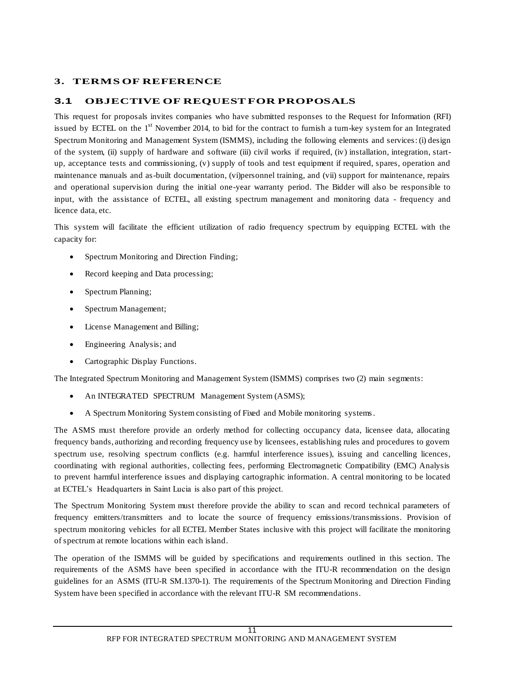# **3. TERMS OF REFERENCE**

### **3.1 OBJECTIVE OF REQUEST FOR PROPOSALS**

This request for proposals invites companies who have submitted responses to the Request for Information (RFI) issued by ECTEL on the 1<sup>st</sup> November 2014, to bid for the contract to furnish a turn-key system for an Integrated Spectrum Monitoring and Management System (ISMMS), including the following elements and services: (i) design of the system, (ii) supply of hardware and software (iii) civil works if required, (iv) installation, integration, startup, acceptance tests and commissioning, (v) supply of tools and test equipment if required, spares, operation and maintenance manuals and as-built documentation, (vi)personnel training, and (vii) support for maintenance, repairs and operational supervision during the initial one-year warranty period. The Bidder will also be responsible to input, with the assistance of ECTEL, all existing spectrum management and monitoring data - frequency and licence data, etc.

This system will facilitate the efficient utilization of radio frequency spectrum by equipping ECTEL with the capacity for:

- Spectrum Monitoring and Direction Finding;
- Record keeping and Data processing;
- Spectrum Planning;
- Spectrum Management;
- License Management and Billing;
- Engineering Analysis; and
- Cartographic Display Functions.

The Integrated Spectrum Monitoring and Management System (ISMMS) comprises two (2) main segments:

- An INTEGRATED SPECTRUM Management System (ASMS);
- A Spectrum Monitoring System consisting of Fixed and Mobile monitoring systems.

The ASMS must therefore provide an orderly method for collecting occupancy data, licensee data, allocating frequency bands, authorizing and recording frequency use by licensees, establishing rules and procedures to govern spectrum use, resolving spectrum conflicts (e.g. harmful interference issues), issuing and cancelling licences, coordinating with regional authorities, collecting fees, performing Electromagnetic Compatibility (EMC) Analysis to prevent harmful interference issues and displaying cartographic information. A central monitoring to be located at ECTEL's Headquarters in Saint Lucia is also part of this project.

The Spectrum Monitoring System must therefore provide the ability to scan and record technical parameters of frequency emitters/transmitters and to locate the source of frequency emissions/transmissions. Provision of spectrum monitoring vehicles for all ECTEL Member States inclusive with this project will facilitate the monitoring of spectrum at remote locations within each island.

The operation of the ISMMS will be guided by specifications and requirements outlined in this section. The requirements of the ASMS have been specified in accordance with the ITU-R recommendation on the design guidelines for an ASMS (ITU-R SM.1370-1). The requirements of the Spectrum Monitoring and Direction Finding System have been specified in accordance with the relevant ITU-R SM recommendations.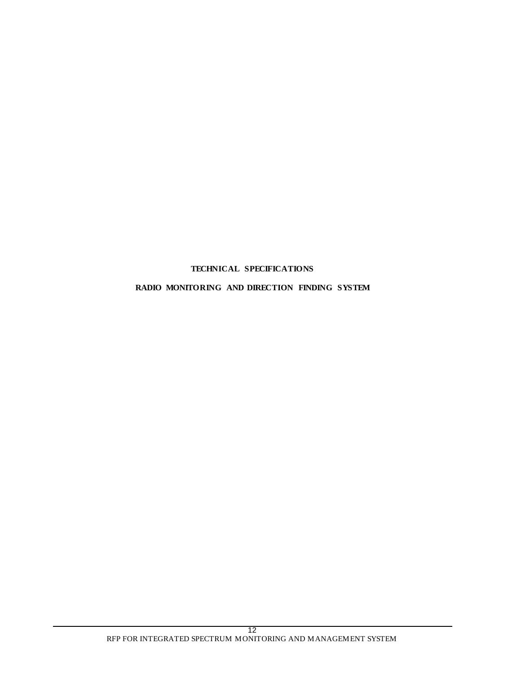# **TECHNICAL SPECIFICATIONS**

# **RADIO MONITORING AND DIRECTION FINDING SYSTEM**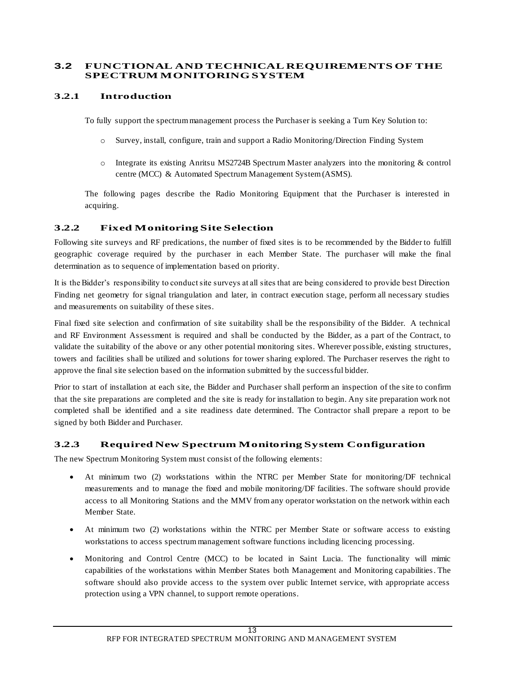### **3.2 FUNCTIONAL AND TECHNICAL REQUIREMENTS OF THE SPECTRUM MONITORING SYSTEM**

# **3.2.1 Introduction**

To fully support the spectrum management process the Purchaser is seeking a Turn Key Solution to:

- o Survey, install, configure, train and support a Radio Monitoring/Direction Finding System
- o Integrate its existing Anritsu MS2724B Spectrum Master analyzers into the monitoring & control centre (MCC) & Automated Spectrum Management System (ASMS).

The following pages describe the Radio Monitoring Equipment that the Purchaser is interested in acquiring.

# **3.2.2 Fixed Monitoring Site Selection**

Following site surveys and RF predications, the number of fixed sites is to be recommended by the Bidder to fulfill geographic coverage required by the purchaser in each Member State. The purchaser will make the final determination as to sequence of implementation based on priority.

It is the Bidder's responsibility to conduct site surveys at all sites that are being considered to provide best Direction Finding net geometry for signal triangulation and later, in contract execution stage, perform all necessary studies and measurements on suitability of these sites.

Final fixed site selection and confirmation of site suitability shall be the responsibility of the Bidder. A technical and RF Environment Assessment is required and shall be conducted by the Bidder, as a part of the Contract, to validate the suitability of the above or any other potential monitoring sites. Wherever possible, existing structures, towers and facilities shall be utilized and solutions for tower sharing explored. The Purchaser reserves the right to approve the final site selection based on the information submitted by the successful bidder.

Prior to start of installation at each site, the Bidder and Purchaser shall perform an inspection of the site to confirm that the site preparations are completed and the site is ready for installation to begin. Any site preparation work not completed shall be identified and a site readiness date determined. The Contractor shall prepare a report to be signed by both Bidder and Purchaser.

# **3.2.3 Required New Spectrum Monitoring System Configuration**

The new Spectrum Monitoring System must consist of the following elements:

- At minimum two (2) workstations within the NTRC per Member State for monitoring/DF technical measurements and to manage the fixed and mobile monitoring/DF facilities. The software should provide access to all Monitoring Stations and the MMV from any operator workstation on the network within each Member State.
- At minimum two (2) workstations within the NTRC per Member State or software access to existing workstations to access spectrum management software functions including licencing processing.
- Monitoring and Control Centre (MCC) to be located in Saint Lucia. The functionality will mimic capabilities of the workstations within Member States both Management and Monitoring capabilities. The software should also provide access to the system over public Internet service, with appropriate access protection using a VPN channel, to support remote operations.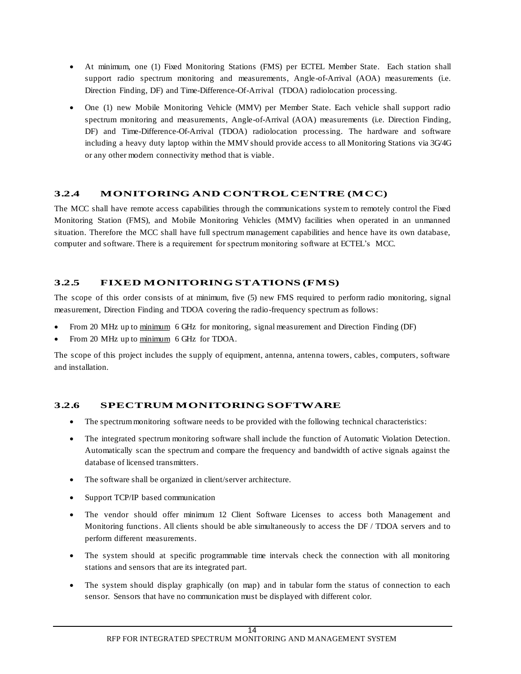- At minimum, one (1) Fixed Monitoring Stations (FMS) per ECTEL Member State. Each station shall support radio spectrum monitoring and measurements, Angle-of-Arrival (AOA) measurements (i.e. Direction Finding, DF) and Time-Difference-Of-Arrival (TDOA) radiolocation processing.
- One (1) new Mobile Monitoring Vehicle (MMV) per Member State. Each vehicle shall support radio spectrum monitoring and measurements, Angle-of-Arrival (AOA) measurements (i.e. Direction Finding, DF) and Time-Difference-Of-Arrival (TDOA) radiolocation processing. The hardware and software including a heavy duty laptop within the MMV should provide access to all Monitoring Stations via 3G/4G or any other modern connectivity method that is viable.

# **3.2.4 MONITORING AND CONTROL CENTRE (MCC)**

The MCC shall have remote access capabilities through the communications system to remotely control the Fixed Monitoring Station (FMS), and Mobile Monitoring Vehicles (MMV) facilities when operated in an unmanned situation. Therefore the MCC shall have full spectrum management capabilities and hence have its own database, computer and software. There is a requirement for spectrum monitoring software at ECTEL's MCC.

# **3.2.5 FIXED MONITORING STATIONS (FMS)**

The scope of this order consists of at minimum, five (5) new FMS required to perform radio monitoring, signal measurement, Direction Finding and TDOA covering the radio-frequency spectrum as follows:

- From 20 MHz up to minimum 6 GHz for monitoring, signal measurement and Direction Finding (DF)
- From 20 MHz up to minimum 6 GHz for TDOA.

The scope of this project includes the supply of equipment, antenna, antenna towers, cables, computers, software and installation.

# **3.2.6 SPECTRUM MONITORING SOFTWARE**

- The spectrum monitoring software needs to be provided with the following technical characteristics:
- The integrated spectrum monitoring software shall include the function of Automatic Violation Detection. Automatically scan the spectrum and compare the frequency and bandwidth of active signals against the database of licensed transmitters.
- The software shall be organized in client/server architecture.
- Support TCP/IP based communication
- The vendor should offer minimum 12 Client Software Licenses to access both Management and Monitoring functions. All clients should be able simultaneously to access the DF / TDOA servers and to perform different measurements.
- The system should at specific programmable time intervals check the connection with all monitoring stations and sensors that are its integrated part.
- The system should display graphically (on map) and in tabular form the status of connection to each sensor. Sensors that have no communication must be displayed with different color.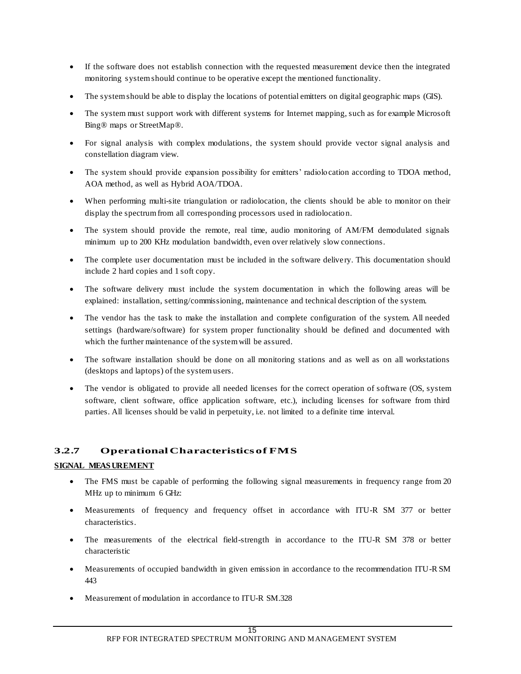- If the software does not establish connection with the requested measurement device then the integrated monitoring system should continue to be operative except the mentioned functionality.
- The system should be able to display the locations of potential emitters on digital geographic maps (GIS).
- The system must support work with different systems for Internet mapping, such as for example Microsoft Bing® maps or StreetMap®.
- For signal analysis with complex modulations, the system should provide vector signal analysis and constellation diagram view.
- The system should provide expansion possibility for emitters' radiolocation according to TDOA method, AOA method, as well as Hybrid AOA/TDOA.
- When performing multi-site triangulation or radiolocation, the clients should be able to monitor on their display the spectrum from all corresponding processors used in radiolocation.
- The system should provide the remote, real time, audio monitoring of AM/FM demodulated signals minimum up to 200 KHz modulation bandwidth, even over relatively slow connections.
- The complete user documentation must be included in the software delivery. This documentation should include 2 hard copies and 1 soft copy.
- The software delivery must include the system documentation in which the following areas will be explained: installation, setting/commissioning, maintenance and technical description of the system.
- The vendor has the task to make the installation and complete configuration of the system. All needed settings (hardware/software) for system proper functionality should be defined and documented with which the further maintenance of the system will be assured.
- The software installation should be done on all monitoring stations and as well as on all workstations (desktops and laptops) of the system users.
- The vendor is obligated to provide all needed licenses for the correct operation of software (OS, system software, client software, office application software, etc.), including licenses for software from third parties. All licenses should be valid in perpetuity, i.e. not limited to a definite time interval.

# **3.2.7 Operational Characteristics of FMS**

# **SIGNAL MEAS UREMENT**

- The FMS must be capable of performing the following signal measurements in frequency range from 20 MHz up to minimum 6 GHz:
- Measurements of frequency and frequency offset in accordance with ITU-R SM 377 or better characteristics.
- The measurements of the electrical field-strength in accordance to the ITU-R SM 378 or better characteristic
- Measurements of occupied bandwidth in given emission in accordance to the recommendation ITU-R SM 443
- Measurement of modulation in accordance to ITU-R SM.328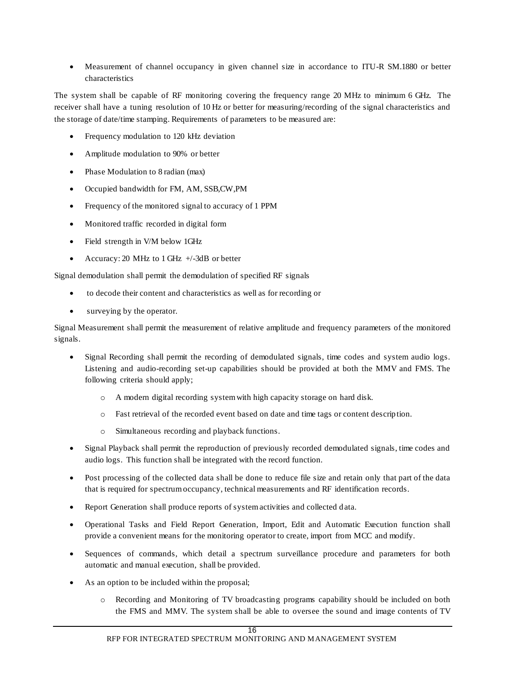Measurement of channel occupancy in given channel size in accordance to ITU-R SM.1880 or better characteristics

The system shall be capable of RF monitoring covering the frequency range 20 MHz to minimum 6 GHz. The receiver shall have a tuning resolution of 10 Hz or better for measuring/recording of the signal characteristics and the storage of date/time stamping. Requirements of parameters to be measured are:

- Frequency modulation to 120 kHz deviation
- Amplitude modulation to 90% or better
- Phase Modulation to 8 radian (max)
- Occupied bandwidth for FM, AM, SSB,CW,PM
- Frequency of the monitored signal to accuracy of 1 PPM
- Monitored traffic recorded in digital form
- Field strength in V/M below 1GHz
- Accuracy: 20 MHz to 1 GHz  $+/-3dB$  or better

Signal demodulation shall permit the demodulation of specified RF signals

- to decode their content and characteristics as well as for recording or
- surveying by the operator.

Signal Measurement shall permit the measurement of relative amplitude and frequency parameters of the monitored signals.

- Signal Recording shall permit the recording of demodulated signals, time codes and system audio logs. Listening and audio-recording set-up capabilities should be provided at both the MMV and FMS. The following criteria should apply;
	- o A modern digital recording system with high capacity storage on hard disk.
	- o Fast retrieval of the recorded event based on date and time tags or content descrip tion.
	- o Simultaneous recording and playback functions.
- Signal Playback shall permit the reproduction of previously recorded demodulated signals, time codes and audio logs. This function shall be integrated with the record function.
- Post processing of the collected data shall be done to reduce file size and retain only that part of the data that is required for spectrum occupancy, technical measurements and RF identification records.
- Report Generation shall produce reports of system activities and collected data.
- Operational Tasks and Field Report Generation, Import, Edit and Automatic Execution function shall provide a convenient means for the monitoring operator to create, import from MCC and modify.
- Sequences of commands, which detail a spectrum surveillance procedure and parameters for both automatic and manual execution, shall be provided.
- As an option to be included within the proposal;
	- o Recording and Monitoring of TV broadcasting programs capability should be included on both the FMS and MMV. The system shall be able to oversee the sound and image contents of TV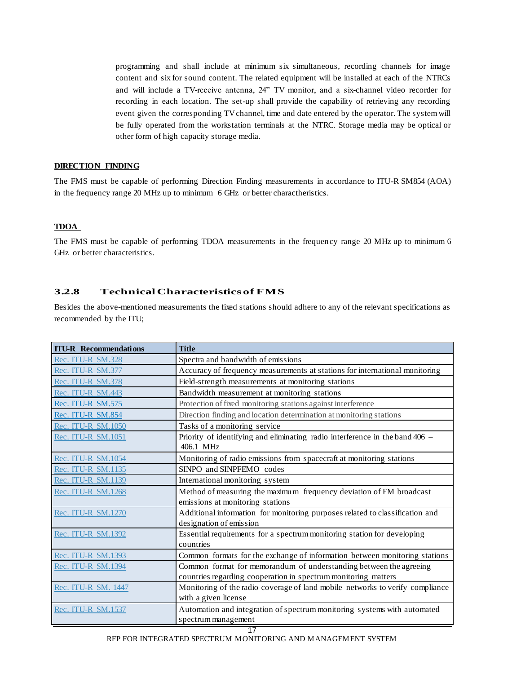programming and shall include at minimum six simultaneous, recording channels for image content and six for sound content. The related equipment will be installed at each of the NTRCs and will include a TV-receive antenna, 24" TV monitor, and a six-channel video recorder for recording in each location. The set-up shall provide the capability of retrieving any recording event given the corresponding TV channel, time and date entered by the operator. The system will be fully operated from the workstation terminals at the NTRC. Storage media may be optical or other form of high capacity storage media.

#### **DIRECTION FINDING**

The FMS must be capable of performing Direction Finding measurements in accordance to ITU-R SM854 (AOA) in the frequency range 20 MHz up to minimum 6 GHz or better charactheristics.

#### **TDOA**

The FMS must be capable of performing TDOA measurements in the frequen cy range 20 MHz up to minimum 6 GHz or better characteristics.

# **3.2.8 Technical Characteristics of FMS**

Besides the above-mentioned measurements the fixed stations should adhere to any of the relevant specifications as recommended by the ITU;

| <b>ITU-R</b> Recommendations | <b>Title</b>                                                                                                                         |  |  |
|------------------------------|--------------------------------------------------------------------------------------------------------------------------------------|--|--|
| Rec. ITU-R SM.328            | Spectra and bandwidth of emissions                                                                                                   |  |  |
| Rec. ITU-R SM.377            | Accuracy of frequency measurements at stations for international monitoring                                                          |  |  |
| Rec. ITU-R SM.378            | Field-strength measurements at monitoring stations                                                                                   |  |  |
| Rec. ITU-R SM.443            | Bandwidth measurement at monitoring stations                                                                                         |  |  |
| Rec. ITU-R SM.575            | Protection of fixed monitoring stations against interference                                                                         |  |  |
| Rec. ITU-R SM.854            | Direction finding and location determination at monitoring stations                                                                  |  |  |
| Rec. ITU-R SM.1050           | Tasks of a monitoring service                                                                                                        |  |  |
| Rec. ITU-R SM.1051           | Priority of identifying and eliminating radio interference in the band 406 -<br>406.1 MHz                                            |  |  |
| Rec. ITU-R SM.1054           | Monitoring of radio emissions from spacecraft at monitoring stations                                                                 |  |  |
| Rec. ITU-R SM.1135           | SINPO and SINPFEMO codes                                                                                                             |  |  |
| Rec. ITU-R SM.1139           | International monitoring system                                                                                                      |  |  |
| Rec. ITU-R SM.1268           | Method of measuring the maximum frequency deviation of FM broadcast                                                                  |  |  |
|                              | emissions at monitoring stations                                                                                                     |  |  |
| Rec. ITU-R SM.1270           | Additional information for monitoring purposes related to classification and<br>designation of emission                              |  |  |
| Rec. ITU-R SM.1392           | Essential requirements for a spectrum monitoring station for developing                                                              |  |  |
|                              | countries                                                                                                                            |  |  |
| Rec. ITU-R SM.1393           | Common formats for the exchange of information between monitoring stations                                                           |  |  |
| Rec. ITU-R SM.1394           | Common format for memorandum of understanding between the agreeing<br>countries regarding cooperation in spectrum monitoring matters |  |  |
| Rec. ITU-R SM. 1447          | Monitoring of the radio coverage of land mobile networks to verify compliance                                                        |  |  |
|                              | with a given license                                                                                                                 |  |  |
| Rec. ITU-R SM.1537           | Automation and integration of spectrum monitoring systems with automated                                                             |  |  |
|                              | spectrum management                                                                                                                  |  |  |

#### RFP FOR INTEGRATED SPECTRUM MONITORING AND MANAGEMENT SYSTEM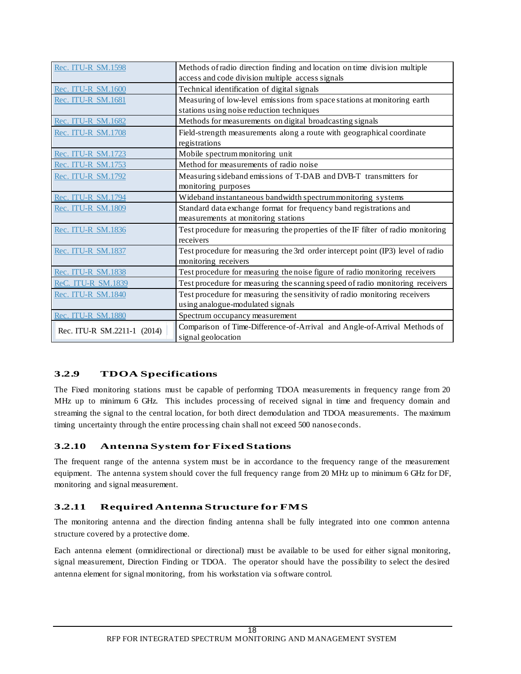| Rec. ITU-R SM.1598          | Methods of radio direction finding and location on time division multiple        |  |  |
|-----------------------------|----------------------------------------------------------------------------------|--|--|
|                             | access and code division multiple access signals                                 |  |  |
| Rec. ITU-R SM.1600          | Technical identification of digital signals                                      |  |  |
| Rec. ITU-R SM.1681          | Measuring of low-level emissions from space stations at monitoring earth         |  |  |
|                             | stations using noise reduction techniques                                        |  |  |
| Rec. ITU-R SM.1682          | Methods for measurements on digital broadcasting signals                         |  |  |
| Rec. ITU-R SM.1708          | Field-strength measurements along a route with geographical coordinate           |  |  |
|                             | registrations                                                                    |  |  |
| Rec. ITU-R SM.1723          | Mobile spectrum monitoring unit                                                  |  |  |
| Rec. ITU-R SM.1753          | Method for measurements of radio noise                                           |  |  |
| Rec. ITU-R SM.1792          | Measuring sideband emissions of T-DAB and DVB-T transmitters for                 |  |  |
|                             | monitoring purposes                                                              |  |  |
| Rec. ITU-R SM.1794          | Wideband instantaneous bandwidth spectrummonitoring systems                      |  |  |
| Rec. ITU-R SM.1809          | Standard data exchange format for frequency band registrations and               |  |  |
|                             | measurements at monitoring stations                                              |  |  |
| Rec. ITU-R SM.1836          | Test procedure for measuring the properties of the IF filter of radio monitoring |  |  |
|                             | receivers                                                                        |  |  |
| Rec. ITU-R SM.1837          | Test procedure for measuring the 3rd order intercept point (IP3) level of radio  |  |  |
|                             | monitoring receivers                                                             |  |  |
| Rec. ITU-R SM.1838          | Test procedure for measuring the noise figure of radio monitoring receivers      |  |  |
| <b>ReC. ITU-R SM.1839</b>   | Test procedure for measuring the scanning speed of radio monitoring receivers    |  |  |
| Rec. ITU-R SM.1840          | Test procedure for measuring the sensitivity of radio monitoring receivers       |  |  |
|                             | using analogue-modulated signals                                                 |  |  |
| Rec. ITU-R SM.1880          | Spectrum occupancy measurement                                                   |  |  |
| Rec. ITU-R SM.2211-1 (2014) | Comparison of Time-Difference-of-Arrival and Angle-of-Arrival Methods of         |  |  |
|                             | signal geolocation                                                               |  |  |

# **3.2.9 TDOA Specifications**

The Fixed monitoring stations must be capable of performing TDOA measurements in frequency range from 20 MHz up to minimum 6 GHz. This includes processing of received signal in time and frequency domain and streaming the signal to the central location, for both direct demodulation and TDOA measurements. The maximum timing uncertainty through the entire processing chain shall not exceed 500 nanoseconds.

# **3.2.10 Antenna System for Fixed Stations**

The frequent range of the antenna system must be in accordance to the frequency range of the measurement equipment. The antenna system should cover the full frequency range from 20 MHz up to minimum 6 GHz for DF, monitoring and signal measurement.

# **3.2.11 Required Antenna Structure for FMS**

The monitoring antenna and the direction finding antenna shall be fully integrated into one common antenna structure covered by a protective dome.

Each antenna element (omnidirectional or directional) must be available to be used for either signal monitoring, signal measurement, Direction Finding or TDOA. The operator should have the possibility to select the desired antenna element for signal monitoring, from his workstation via s oftware control.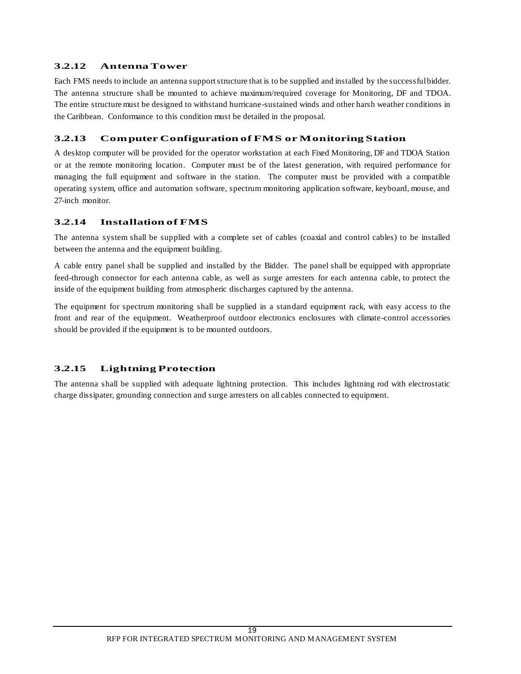# **3.2.12 Antenna Tower**

Each FMS needs to include an antenna support structure that is to be supplied and installed by the successful bidder. The antenna structure shall be mounted to achieve maximum/required coverage for Monitoring, DF and TDOA. The entire structure must be designed to withstand hurricane-sustained winds and other harsh weather conditions in the Caribbean. Conformance to this condition must be detailed in the proposal.

# **3.2.13 Computer Configuration of FMS or Monitoring Station**

A desktop computer will be provided for the operator workstation at each Fixed Monitoring, DF and TDOA Station or at the remote monitoring location. Computer must be of the latest generation, with required performance for managing the full equipment and software in the station. The computer must be provided with a compatible operating system, office and automation software, spectrum monitoring application software, keyboard, mouse, and 27-inch monitor.

# **3.2.14 Installation of FMS**

The antenna system shall be supplied with a complete set of cables (coaxial and control cables) to be installed between the antenna and the equipment building.

A cable entry panel shall be supplied and installed by the Bidder. The panel shall be equipped with appropriate feed-through connector for each antenna cable, as well as surge arresters for each antenna cable, to protect the inside of the equipment building from atmospheric discharges captured by the antenna.

The equipment for spectrum monitoring shall be supplied in a standard equipment rack, with easy access to the front and rear of the equipment. Weatherproof outdoor electronics enclosures with climate-control accessories should be provided if the equipment is to be mounted outdoors.

# **3.2.15 Lightning Protection**

The antenna shall be supplied with adequate lightning protection. This includes lightning rod with electrostatic charge dissipater, grounding connection and surge arresters on all cables connected to equipment.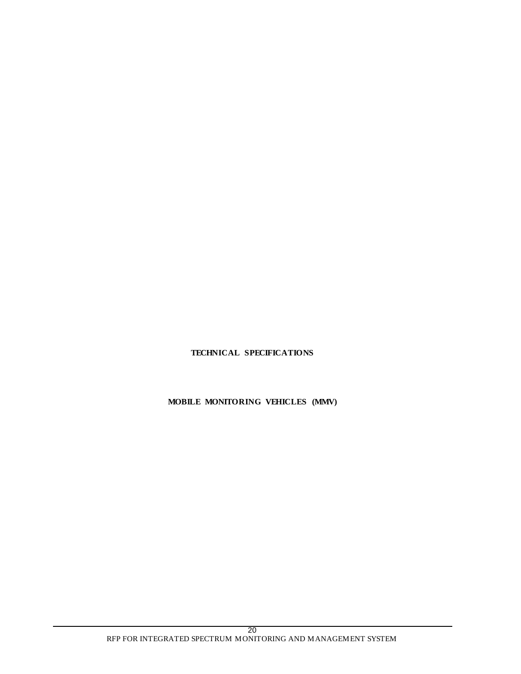# **TECHNICAL SPECIFICATIONS**

**MOBILE MONITORING VEHICLES (MMV)**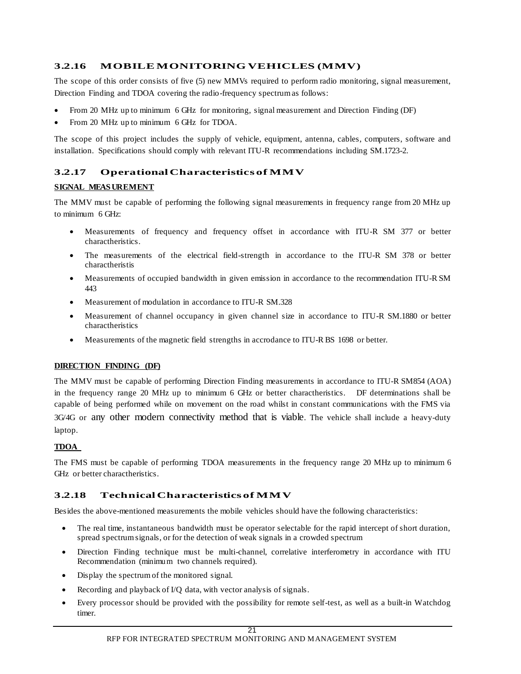# **3.2.16 MOBILE MONITORING VEHICLES (MMV)**

The scope of this order consists of five (5) new MMVs required to perform radio monitoring, signal measurement, Direction Finding and TDOA covering the radio-frequency spectrum as follows:

- From 20 MHz up to minimum 6 GHz for monitoring, signal measurement and Direction Finding (DF)
- From 20 MHz up to minimum 6 GHz for TDOA.

The scope of this project includes the supply of vehicle, equipment, antenna, cables, computers, software and installation. Specifications should comply with relevant ITU-R recommendations including SM.1723-2.

# **3.2.17 Operational Characteristics of MMV**

### **SIGNAL MEAS UREMENT**

The MMV must be capable of performing the following signal measurements in frequency range from 20 MHz up to minimum 6 GHz:

- Measurements of frequency and frequency offset in accordance with ITU-R SM 377 or better charactheristics.
- The measurements of the electrical field-strength in accordance to the ITU-R SM 378 or better charactheristis
- Measurements of occupied bandwidth in given emission in accordance to the recommendation ITU-R SM 443
- Measurement of modulation in accordance to ITU-R SM.328
- Measurement of channel occupancy in given channel size in accordance to ITU-R SM.1880 or better charactheristics
- Measurements of the magnetic field strengths in accrodance to ITU-R BS 1698 or better.

#### **DIRECTION FINDING (DF)**

The MMV must be capable of performing Direction Finding measurements in accordance to ITU-R SM854 (AOA) in the frequency range 20 MHz up to minimum 6 GHz or better charactheristics. DF determinations shall be capable of being performed while on movement on the road whilst in constant communications with the FMS via 3G/4G or any other modern connectivity method that is viable. The vehicle shall include a heavy-duty laptop.

#### **TDOA**

The FMS must be capable of performing TDOA measurements in the frequency range 20 MHz up to minimum 6 GHz or better charactheristics.

# **3.2.18 Technical Characteristics of MMV**

Besides the above-mentioned measurements the mobile vehicles should have the following characteristics:

- The real time, instantaneous bandwidth must be operator selectable for the rapid intercept of short duration, spread spectrum signals, or for the detection of weak signals in a crowded spectrum
- Direction Finding technique must be multi-channel, correlative interferometry in accordance with ITU Recommendation (minimum two channels required).
- Display the spectrum of the monitored signal.
- Recording and playback of I/Q data, with vector analysis of signals.
- Every processor should be provided with the possibility for remote self-test, as well as a built-in Watchdog timer.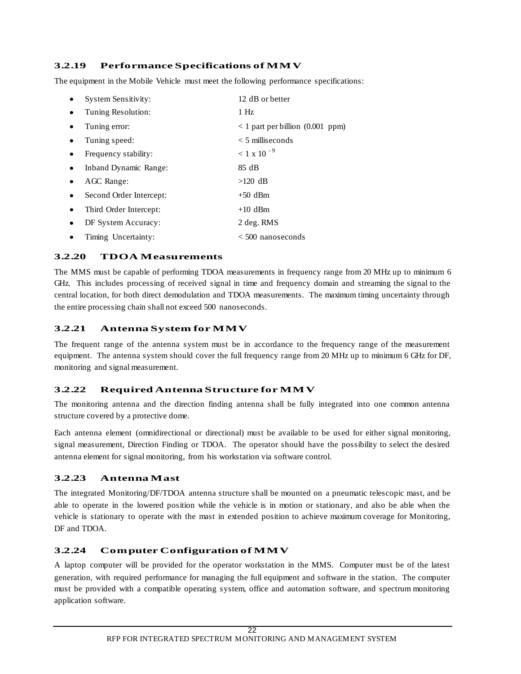# **3.2.19 Performance Specifications of MMV**

The equipment in the Mobile Vehicle must meet the following performance specifications:

|   | System Sensitivity:     | 12 dB or better                          |
|---|-------------------------|------------------------------------------|
|   | Tuning Resolution:      | 1 Hz                                     |
|   | Tuning error:           | $\langle 1$ part per billion (0.001 ppm) |
|   | Tuning speed:           | $<$ 5 milliseconds                       |
|   | Frequency stability:    | $< 1 \times 10^{-9}$                     |
|   | Inband Dynamic Range:   | 85 dB                                    |
|   | AGC Range:              | $>120$ dB                                |
| ٠ | Second Order Intercept: | $+50$ dBm                                |
|   | Third Order Intercept:  | $+10$ dBm                                |
|   | DF System Accuracy:     | 2 deg. RMS                               |
|   | Timing Uncertainty:     | $< 500$ nanoseconds                      |

# **3.2.20 TDOA Measurements**

The MMS must be capable of performing TDOA measurements in frequency range from 20 MHz up to minimum 6 GHz. This includes processing of received signal in time and frequency domain and streaming the signal to the central location, for both direct demodulation and TDOA measurements. The maximum timing uncertainty through the entire processing chain shall not exceed 500 nanoseconds.

# **3.2.21 Antenna System for MMV**

The frequent range of the antenna system must be in accordance to the frequency range of the measurement equipment. The antenna system should cover the full frequency range from 20 MHz up to minimum 6 GHz for DF, monitoring and signal measurement.

### **3.2.22 Required Antenna Structure for MMV**

The monitoring antenna and the direction finding antenna shall be fully integrated into one common antenna structure covered by a protective dome.

Each antenna element (omnidirectional or directional) must be available to be used for either signal monitoring, signal measurement, Direction Finding or TDOA. The operator should have the possibility to select the desired antenna element for signal monitoring, from his workstation via software control.

# **3.2.23 Antenna Mast**

The integrated Monitoring/DF/TDOA antenna structure shall be mounted on a pneumatic telescopic mast, and be able to operate in the lowered position while the vehicle is in motion or stationary, and also be able when the vehicle is stationary to operate with the mast in extended position to achieve maximum coverage for Monitoring, DF and TDOA.

#### **3.2.24 Computer Configuration of MMV**

A laptop computer will be provided for the operator workstation in the MMS. Computer must be of the latest generation, with required performance for managing the full equipment and software in the station. The computer must be provided with a compatible operating system, office and automation software, and spectrum monitoring application software.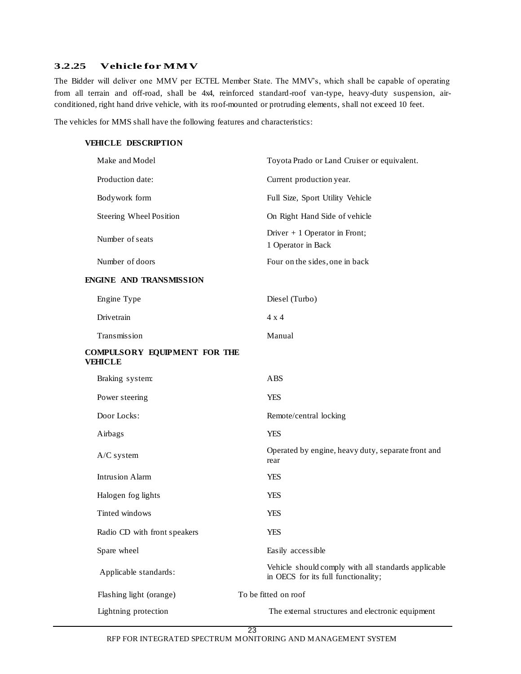### **3.2.25 Vehicle for MMV**

The Bidder will deliver one MMV per ECTEL Member State. The MMV's, which shall be capable of operating from all terrain and off-road, shall be 4x4, reinforced standard-roof van-type, heavy-duty suspension, airconditioned, right hand drive vehicle, with its roof-mounted or protruding elements, shall not exceed 10 feet.

The vehicles for MMS shall have the following features and characteristics:

# **VEHICLE DESCRIPTION**

| Make and Model                          | Toyota Prado or Land Cruiser or equivalent.                                                |
|-----------------------------------------|--------------------------------------------------------------------------------------------|
| Production date:                        | Current production year.                                                                   |
| Bodywork form                           | Full Size, Sport Utility Vehicle                                                           |
| Steering Wheel Position                 | On Right Hand Side of vehicle                                                              |
| Number of seats                         | Driver $+1$ Operator in Front;<br>1 Operator in Back                                       |
| Number of doors                         | Four on the sides, one in back                                                             |
| <b>ENGINE AND TRANSMISSION</b>          |                                                                                            |
| Engine Type                             | Diesel (Turbo)                                                                             |
| Drivetrain                              | $4 \times 4$                                                                               |
| Transmission                            | Manual                                                                                     |
| COMPULSORY EQUIPMENT FOR THE<br>VEHICLE |                                                                                            |
| Braking system:                         | ABS                                                                                        |
| Power steering                          | <b>YES</b>                                                                                 |
| Door Locks:                             | Remote/central locking                                                                     |
| Airbags                                 | <b>YES</b>                                                                                 |
| $A/C$ system                            | Operated by engine, heavy duty, separate front and<br>rear                                 |
| <b>Intrusion Alarm</b>                  | <b>YES</b>                                                                                 |
| Halogen fog lights                      | <b>YES</b>                                                                                 |
| Tinted windows                          | <b>YES</b>                                                                                 |
| Radio CD with front speakers            | <b>YES</b>                                                                                 |
| Spare wheel                             | Easily accessible                                                                          |
| Applicable standards:                   | Vehicle should comply with all standards applicable<br>in OECS for its full functionality; |
| Flashing light (orange)                 | To be fitted on roof                                                                       |
| Lightning protection                    | The external structures and electronic equipment                                           |

23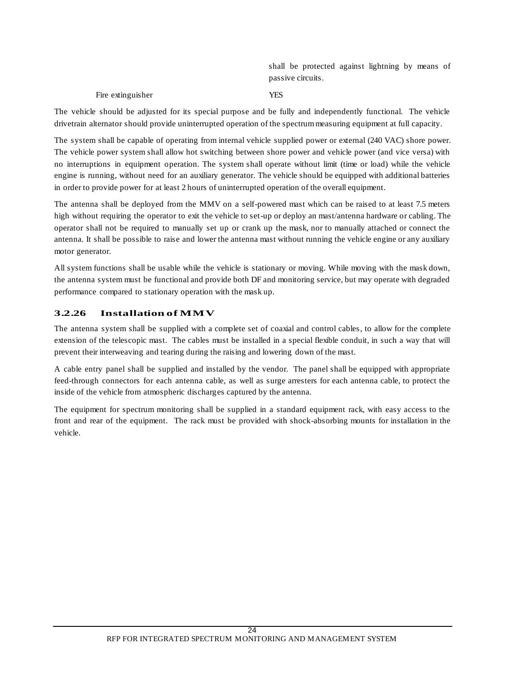shall be protected against lightning by means of passive circuits.

#### Fire extinguisher YES

The vehicle should be adjusted for its special purpose and be fully and independently functional. The vehicle drivetrain alternator should provide uninterrupted operation of the spectrum measuring equipment at full capacity.

The system shall be capable of operating from internal vehicle supplied power or external (240 VAC) shore power. The vehicle power system shall allow hot switching between shore power and vehicle power (and vice versa) with no interruptions in equipment operation. The system shall operate without limit (time or load) while the vehicle engine is running, without need for an auxiliary generator. The vehicle should be equipped with additional batteries in order to provide power for at least 2 hours of uninterrupted operation of the overall equipment.

The antenna shall be deployed from the MMV on a self-powered mast which can be raised to at least 7.5 meters high without requiring the operator to exit the vehicle to set-up or deploy an mast/antenna hardware or cabling. The operator shall not be required to manually set up or crank up the mask, nor to manually attached or connect the antenna. It shall be possible to raise and lower the antenna mast without running the vehicle engine or any auxiliary motor generator.

All system functions shall be usable while the vehicle is stationary or moving. While moving with the mask down, the antenna system must be functional and provide both DF and monitoring service, but may operate with degraded performance compared to stationary operation with the mask up.

### **3.2.26 Installation of MMV**

The antenna system shall be supplied with a complete set of coaxial and control cables, to allow for the complete extension of the telescopic mast. The cables must be installed in a special flexible conduit, in such a way that will prevent their interweaving and tearing during the raising and lowering down of the mast.

A cable entry panel shall be supplied and installed by the vendor. The panel shall be equipped with appropriate feed-through connectors for each antenna cable, as well as surge arresters for each antenna cable, to protect the inside of the vehicle from atmospheric discharges captured by the antenna.

The equipment for spectrum monitoring shall be supplied in a standard equipment rack, with easy access to the front and rear of the equipment. The rack must be provided with shock-absorbing mounts for installation in the vehicle.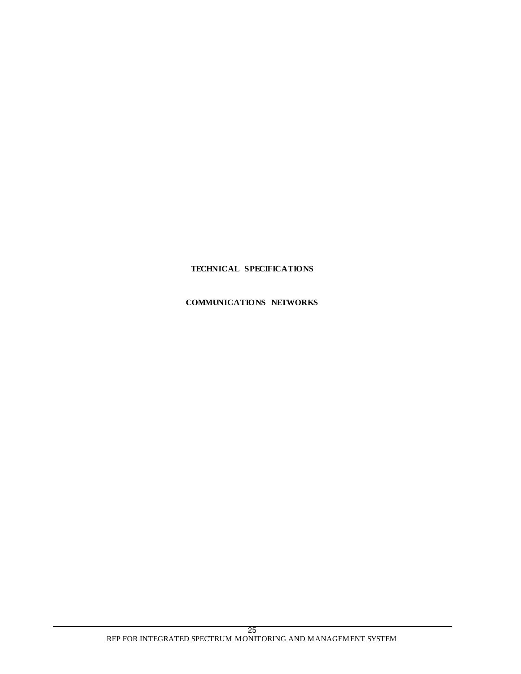# **TECHNICAL SPECIFICATIONS**

# **COMMUNICATIONS NETWORKS**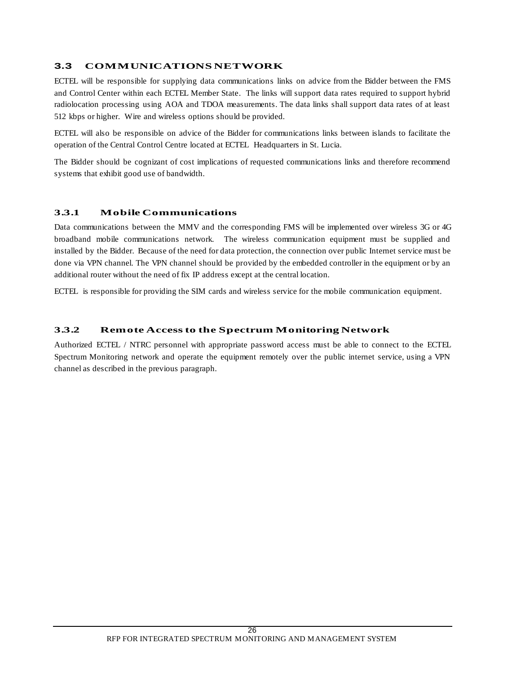# **3.3 COMMUNICATIONS NETWORK**

ECTEL will be responsible for supplying data communications links on advice from the Bidder between the FMS and Control Center within each ECTEL Member State. The links will support data rates required to support hybrid radiolocation processing using AOA and TDOA measurements. The data links shall support data rates of at least 512 kbps or higher. Wire and wireless options should be provided.

ECTEL will also be responsible on advice of the Bidder for communications links between islands to facilitate the operation of the Central Control Centre located at ECTEL Headquarters in St. Lucia.

The Bidder should be cognizant of cost implications of requested communications links and therefore recommend systems that exhibit good use of bandwidth.

# **3.3.1 Mobile Communications**

Data communications between the MMV and the corresponding FMS will be implemented over wireless 3G or 4G broadband mobile communications network. The wireless communication equipment must be supplied and installed by the Bidder. Because of the need for data protection, the connection over public Internet service must be done via VPN channel. The VPN channel should be provided by the embedded controller in the equipment or by an additional router without the need of fix IP address except at the central location.

ECTEL is responsible for providing the SIM cards and wireless service for the mobile communication equipment.

### **3.3.2 Remote Access to the Spectrum Monitoring Network**

Authorized ECTEL / NTRC personnel with appropriate password access must be able to connect to the ECTEL Spectrum Monitoring network and operate the equipment remotely over the public internet service, using a VPN channel as described in the previous paragraph.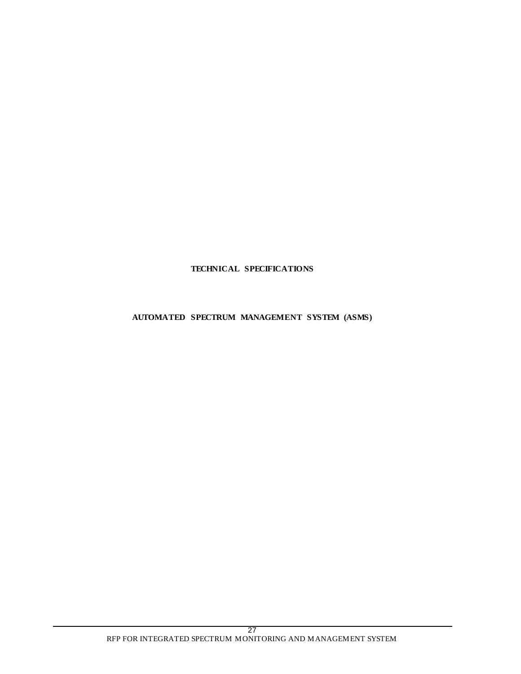# **TECHNICAL SPECIFICATIONS**

### **AUTOMATED SPECTRUM MANAGEMENT SYSTEM (ASMS)**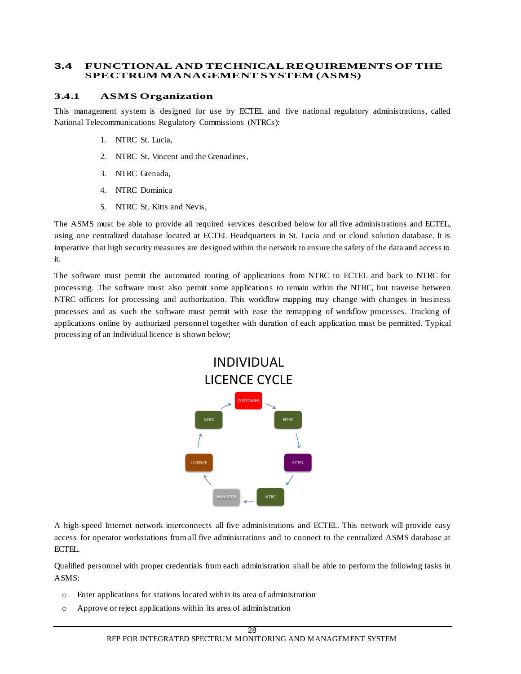### **3.4 FUNCTIONAL AND TECHNICAL REQUIREMENTS OF THE SPECTRUM MANAGEMENT SYSTEM (ASMS)**

# **3.4.1 ASMS Organization**

This management system is designed for use by ECTEL and five national regulatory administrations, called National Telecommunications Regulatory Commissions (NTRCs):

- 1. NTRC St. Lucia,
- 2. NTRC St. Vincent and the Grenadines,
- 3. NTRC Grenada,
- 4. NTRC Dominica
- 5. NTRC St. Kitts and Nevis,

The ASMS must be able to provide all required services described below for all five administrations and ECTEL, using one centralized database located at ECTEL Headquarters in St. Lucia and or cloud solution database. It is imperative that high security measures are designed within the network to ensure the safety of the data and access to it.

The software must permit the automated routing of applications from NTRC to ECTEL and back to NTRC for processing. The software must also permit some applications to remain within the NTRC, but traverse between NTRC officers for processing and authorization. This workflow mapping may change with changes in business processes and as such the software must permit with ease the remapping of workflow processes. Tracking of applications online by authorized personnel together with duration of each application must be permitted. Typical processing of an Individual licence is shown below;



A high-speed Internet network interconnects all five administrations and ECTEL. This network will provide easy access for operator workstations from all five administrations and to connect to the centralized ASMS database at ECTEL.

Qualified personnel with proper credentials from each administration shall be able to perform the following tasks in ASMS:

- o Enter applications for stations located within its area of administration
- o Approve or reject applications within its area of administration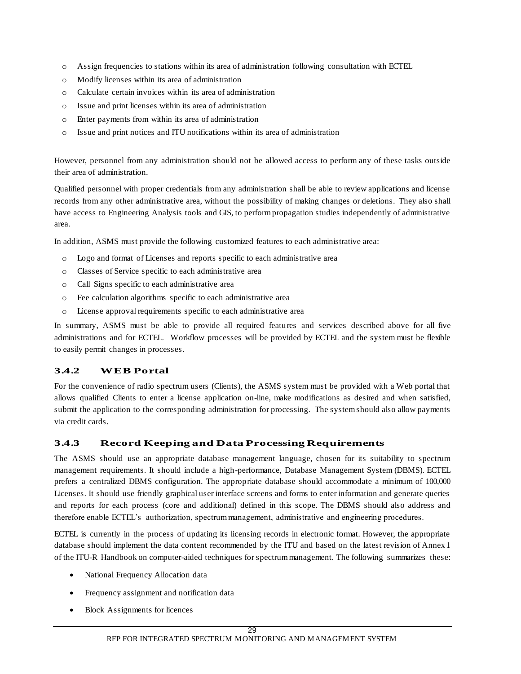- o Assign frequencies to stations within its area of administration following consultation with ECTEL
- o Modify licenses within its area of administration
- o Calculate certain invoices within its area of administration
- o Issue and print licenses within its area of administration
- o Enter payments from within its area of administration
- o Issue and print notices and ITU notifications within its area of administration

However, personnel from any administration should not be allowed access to perform any of these tasks outside their area of administration.

Qualified personnel with proper credentials from any administration shall be able to review applications and license records from any other administrative area, without the possibility of making changes or deletions. They also shall have access to Engineering Analysis tools and GIS, to perform propagation studies independently of administrative area.

In addition, ASMS must provide the following customized features to each administrative area:

- o Logo and format of Licenses and reports specific to each administrative area
- o Classes of Service specific to each administrative area
- o Call Signs specific to each administrative area
- o Fee calculation algorithms specific to each administrative area
- o License approval requirements specific to each administrative area

In summary, ASMS must be able to provide all required features and services described above for all five administrations and for ECTEL. Workflow processes will be provided by ECTEL and the system must be flexible to easily permit changes in processes.

# **3.4.2 WEB Portal**

For the convenience of radio spectrum users (Clients), the ASMS system must be provided with a Web portal that allows qualified Clients to enter a license application on-line, make modifications as desired and when satisfied, submit the application to the corresponding administration for processing. The system should also allow payments via credit cards.

# **3.4.3 Record Keeping and Data Processing Requirements**

The ASMS should use an appropriate database management language, chosen for its suitability to spectrum management requirements. It should include a high-performance, Database Management System (DBMS). ECTEL prefers a centralized DBMS configuration. The appropriate database should accommodate a minimum of 100,000 Licenses. It should use friendly graphical user interface screens and forms to enter information and generate queries and reports for each process (core and additional) defined in this scope. The DBMS should also address and therefore enable ECTEL's authorization, spectrum management, administrative and engineering procedures.

ECTEL is currently in the process of updating its licensing records in electronic format. However, the appropriate database should implement the data content recommended by the ITU and based on the latest revision of Annex 1 of the ITU-R Handbook on computer-aided techniques for spectrum management. The following summarizes these:

- National Frequency Allocation data
- Frequency assignment and notification data
- Block Assignments for licences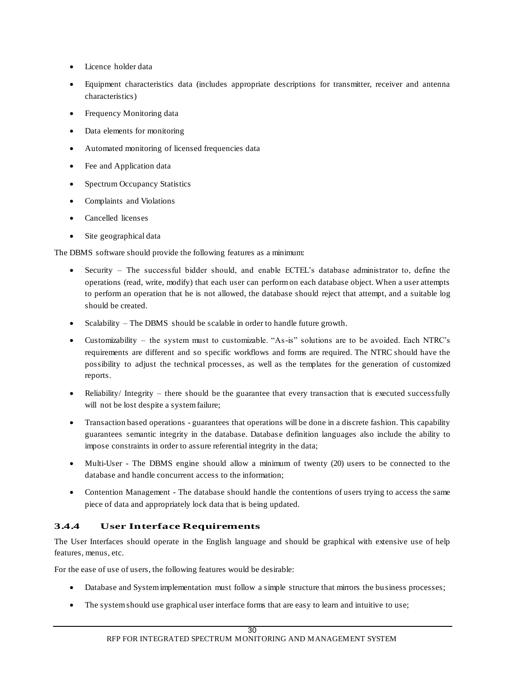- Licence holder data
- Equipment characteristics data (includes appropriate descriptions for transmitter, receiver and antenna characteristics)
- Frequency Monitoring data
- Data elements for monitoring
- Automated monitoring of licensed frequencies data
- Fee and Application data
- Spectrum Occupancy Statistics
- Complaints and Violations
- Cancelled licenses
- Site geographical data

The DBMS software should provide the following features as a minimum:

- Security The successful bidder should, and enable ECTEL's database administrator to, define the operations (read, write, modify) that each user can perform on each database object. When a user attempts to perform an operation that he is not allowed, the database should reject that attempt, and a suitable log should be created.
- Scalability The DBMS should be scalable in order to handle future growth.
- Customizability the system must to customizable. "As-is" solutions are to be avoided. Each NTRC's requirements are different and so specific workflows and forms are required. The NTRC should have the possibility to adjust the technical processes, as well as the templates for the generation of customized reports.
- Reliability/ Integrity there should be the guarantee that every transaction that is executed successfully will not be lost despite a system failure;
- Transaction based operations guarantees that operations will be done in a discrete fashion. This capability guarantees semantic integrity in the database. Database definition languages also include the ability to impose constraints in order to assure referential integrity in the data;
- Multi-User The DBMS engine should allow a minimum of twenty (20) users to be connected to the database and handle concurrent access to the information;
- Contention Management The database should handle the contentions of users trying to access the same piece of data and appropriately lock data that is being updated.

# **3.4.4 User Interface Requirements**

The User Interfaces should operate in the English language and should be graphical with extensive use of help features, menus, etc.

For the ease of use of users, the following features would be desirable:

- Database and System implementation must follow a simple structure that mirrors the bu siness processes;
- The system should use graphical user interface forms that are easy to learn and intuitive to use;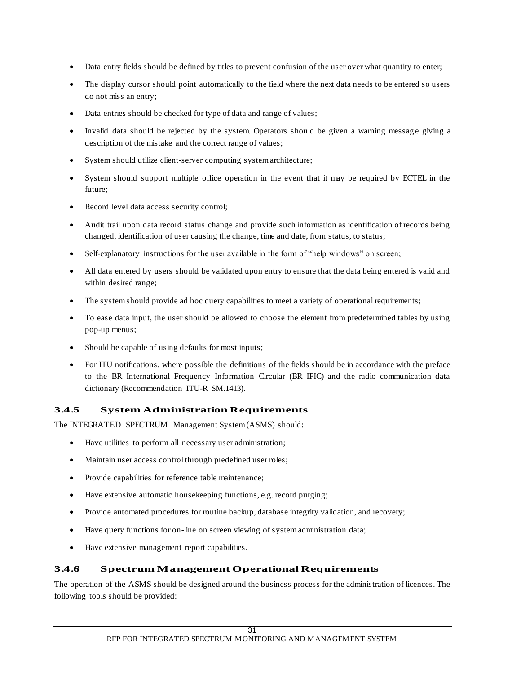- Data entry fields should be defined by titles to prevent confusion of the user over what quantity to enter;
- The display cursor should point automatically to the field where the next data needs to be entered so users do not miss an entry;
- Data entries should be checked for type of data and range of values;
- Invalid data should be rejected by the system. Operators should be given a warning message giving a description of the mistake and the correct range of values;
- System should utilize client-server computing system architecture;
- System should support multiple office operation in the event that it may be required by ECTEL in the future;
- Record level data access security control;
- Audit trail upon data record status change and provide such information as identification of records being changed, identification of user causing the change, time and date, from status, to status;
- Self-explanatory instructions for the user available in the form of "help windows" on screen;
- All data entered by users should be validated upon entry to ensure that the data being entered is valid and within desired range;
- The system should provide ad hoc query capabilities to meet a variety of operational requirements;
- To ease data input, the user should be allowed to choose the element from predetermined tables by using pop-up menus;
- Should be capable of using defaults for most inputs;
- For ITU notifications, where possible the definitions of the fields should be in accordance with the preface to the BR International Frequency Information Circular (BR IFIC) and the radio communication data dictionary (Recommendation ITU-R SM.1413).

# **3.4.5 System Administration Requirements**

The INTEGRATED SPECTRUM Management System (ASMS) should:

- Have utilities to perform all necessary user administration;
- Maintain user access control through predefined user roles;
- Provide capabilities for reference table maintenance;
- Have extensive automatic housekeeping functions, e.g. record purging;
- Provide automated procedures for routine backup, database integrity validation, and recovery;
- Have query functions for on-line on screen viewing of system administration data;
- Have extensive management report capabilities.

# **3.4.6 Spectrum Management Operational Requirements**

The operation of the ASMS should be designed around the business process for the administration of licences. The following tools should be provided: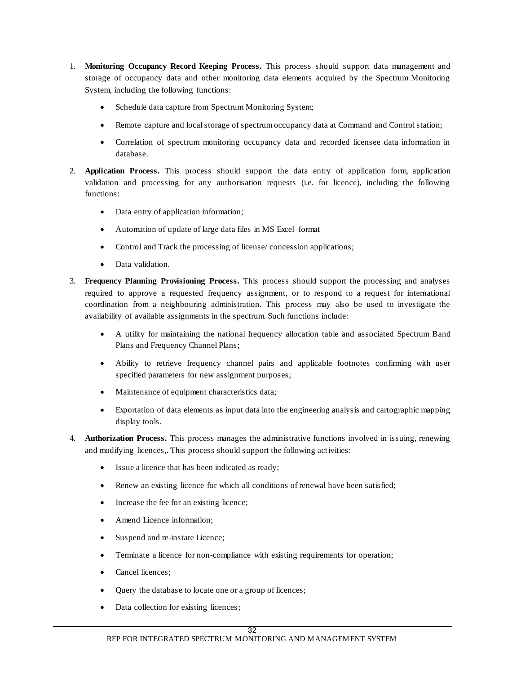- 1. **Monitoring Occupancy Record Keeping Process.** This process should support data management and storage of occupancy data and other monitoring data elements acquired by the Spectrum Monitoring System, including the following functions:
	- Schedule data capture from Spectrum Monitoring System;
	- Remote capture and local storage of spectrum occupancy data at Command and Control station;
	- Correlation of spectrum monitoring occupancy data and recorded licensee data information in database.
- 2. **Application Process.** This process should support the data entry of application form, applic ation validation and processing for any authorisation requests (i.e. for licence), including the following functions:
	- Data entry of application information;
	- Automation of update of large data files in MS Excel format
	- Control and Track the processing of license/ concession applications;
	- Data validation.
- 3. **Frequency Planning Provisioning Process.** This process should support the processing and analyses required to approve a requested frequency assignment, or to respond to a request for international coordination from a neighbouring administration. This process may also be used to investigate the availability of available assignments in the spectrum. Such functions include:
	- A utility for maintaining the national frequency allocation table and associated Spectrum Band Plans and Frequency Channel Plans;
	- Ability to retrieve frequency channel pairs and applicable footnotes confirming with user specified parameters for new assignment purposes;
	- Maintenance of equipment characteristics data;
	- Exportation of data elements as input data into the engineering analysis and cartographic mapping display tools.
- 4. **Authorization Process.** This process manages the administrative functions involved in issuing, renewing and modifying licences,. This process should support the following activities:
	- Issue a licence that has been indicated as ready;
	- Renew an existing licence for which all conditions of renewal have been satisfied;
	- Increase the fee for an existing licence;
	- Amend Licence information;
	- Suspend and re-instate Licence;
	- Terminate a licence for non-compliance with existing requirements for operation;
	- Cancel licences;
	- Query the database to locate one or a group of licences;
	- Data collection for existing licences;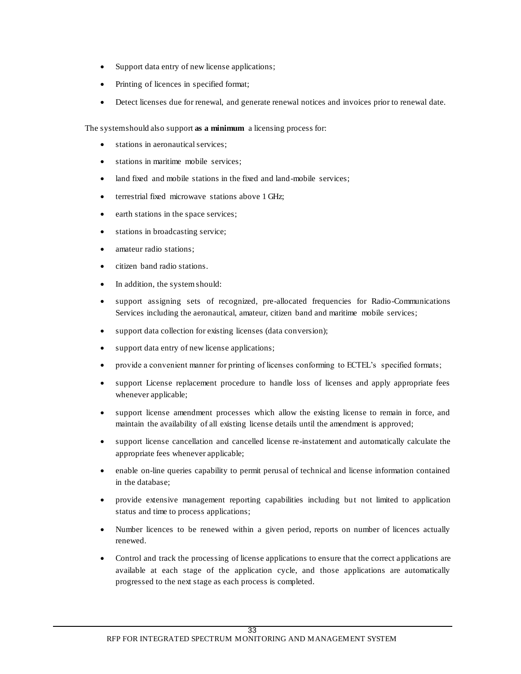- Support data entry of new license applications;
- Printing of licences in specified format;
- Detect licenses due for renewal, and generate renewal notices and invoices prior to renewal date.

The system should also support **as a minimum** a licensing process for:

- stations in aeronautical services;
- stations in maritime mobile services;
- land fixed and mobile stations in the fixed and land-mobile services;
- terrestrial fixed microwave stations above 1 GHz;
- earth stations in the space services;
- stations in broadcasting service;
- amateur radio stations;
- citizen band radio stations.
- In addition, the system should:
- support assigning sets of recognized, pre-allocated frequencies for Radio-Communications Services including the aeronautical, amateur, citizen band and maritime mobile services;
- support data collection for existing licenses (data conversion);
- support data entry of new license applications;
- provide a convenient manner for printing of licenses conforming to ECTEL's specified formats;
- support License replacement procedure to handle loss of licenses and apply appropriate fees whenever applicable;
- support license amendment processes which allow the existing license to remain in force, and maintain the availability of all existing license details until the amendment is approved;
- support license cancellation and cancelled license re-instatement and automatically calculate the appropriate fees whenever applicable;
- enable on-line queries capability to permit perusal of technical and license information contained in the database;
- provide extensive management reporting capabilities including but not limited to application status and time to process applications;
- Number licences to be renewed within a given period, reports on number of licences actually renewed.
- Control and track the processing of license applications to ensure that the correct applications are available at each stage of the application cycle, and those applications are automatically progressed to the next stage as each process is completed.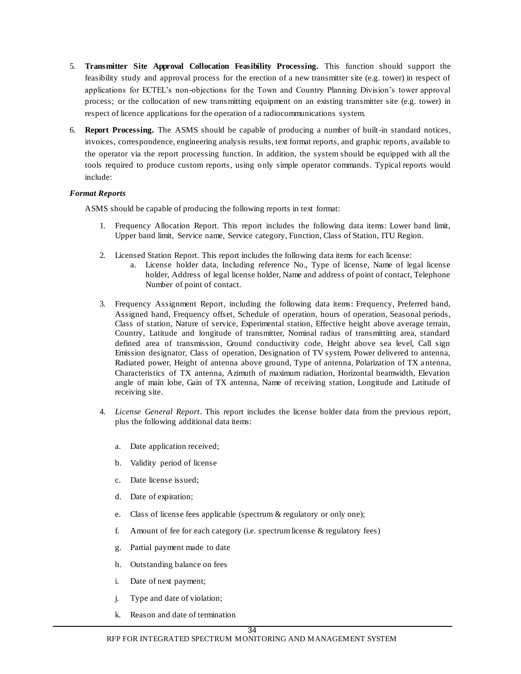- 5. **Transmitter Site Approval Collocation Feasibility Processing.** This function should support the feasibility study and approval process for the erection of a new transmitter site (e.g. tower) in respect of applications for ECTEL's non-objections for the Town and Country Planning Division's tower approval process; or the collocation of new transmitting equipment on an existing transmitter site (e.g. tower) in respect of licence applications for the operation of a radiocommunications system.
- 6. **Report Processing.** The ASMS should be capable of producing a number of built-in standard notices, invoices, correspondence, engineering analysis results, text format reports, and graphic reports, available to the operator via the report processing function. In addition, the system should be equipped with all the tools required to produce custom reports, using only simple operator commands. Typical reports would include:

#### *Format Reports*

ASMS should be capable of producing the following reports in text format:

- 1. Frequenc*y* Allocation Report. This report includes the following data items: Lower band limit, Upper band limit, Service name, Service category, Function, Class of Station, ITU Region.
- 2. Licensed Station Report. This report includes the following data items for each license:
	- a. License holder data, Including reference No., Type of license, Name of legal license holder, Address of legal license holder, Name and address of point of contact, Telephone Number of point of contact.
- 3. Frequency Assignment Report, including the following data items: Frequency, Preferred band, Assigned band, Frequency offset, Schedule of operation, hours of operation, Seasonal periods, Class of station, Nature of service, Experimental station, Effective height above average terrain, Country, Latitude and longitude of transmitter, Nominal radius of transmitting area, standard defined area of transmission, Ground conductivity code, Height above sea level, Call sign Emission designator, Class of operation, Designation of TV system, Power delivered to antenna, Radiated power, Height of antenna above ground, Type of antenna, Polarization of TX antenna, Characteristics of TX antenna, Azimuth of maximum radiation, Horizontal beamwidth, Elevation angle of main lobe, Gain of TX antenna, Name of receiving station, Longitude and Latitude of receiving site.
- 4. *License General Report*. This report includes the license holder data from the previous report, plus the following additional data items:
	- a. Date application received;
	- b. Validity period of license
	- c. Date license issued;
	- d. Date of expiration;
	- e. Class of license fees applicable (spectrum & regulatory or only one);
	- f. Amount of fee for each category (i.e. spectrum license & regulatory fees)
	- g. Partial payment made to date
	- h. Outstanding balance on fees
	- i. Date of next payment;
	- j. Type and date of violation;
	- k. Reason and date of termination

#### 34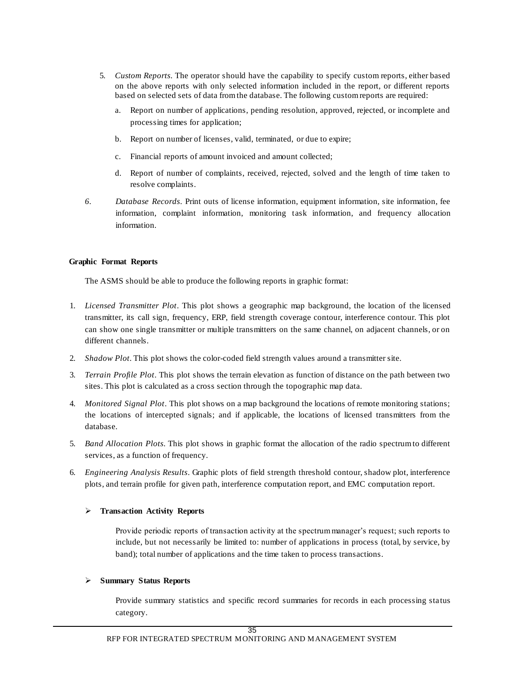- 5. *Custom Reports*. The operator should have the capability to specify custom reports, either based on the above reports with only selected information included in the report, or different reports based on selected sets of data from the database. The following custom reports are required:
	- a. Report on number of applications, pending resolution, approved, rejected, or incomplete and processing times for application;
	- b. Report on number of licenses, valid, terminated, or due to expire;
	- c. Financial reports of amount invoiced and amount collected;
	- d. Report of number of complaints, received, rejected, solved and the length of time taken to resolve complaints.
- *6. Database Records*. Print outs of license information, equipment information, site information, fee information, complaint information, monitoring task information, and frequency allocation information.

#### **Graphic Format Reports**

The ASMS should be able to produce the following reports in graphic format:

- 1. *Licensed Transmitter Plot*. This plot shows a geographic map background, the location of the licensed transmitter, its call sign, frequency, ERP, field strength coverage contour, interference contour. This plot can show one single transmitter or multiple transmitters on the same channel, on adjacent channels, or on different channels.
- 2. *Shadow Plot*. This plot shows the color-coded field strength values around a transmitter site.
- 3. *Terrain Profile Plot*. This plot shows the terrain elevation as function of distance on the path between two sites. This plot is calculated as a cross section through the topographic map data.
- 4. *Monitored Signal Plot*. This plot shows on a map background the locations of remote monitoring stations; the locations of intercepted signals; and if applicable, the locations of licensed transmitters from the database.
- 5. *Band Allocation Plots*. This plot shows in graphic format the allocation of the radio spectrum to different services, as a function of frequency.
- 6. *Engineering Analysis Results*. Graphic plots of field strength threshold contour, shadow plot, interference plots, and terrain profile for given path, interference computation report, and EMC computation report.

#### **Transaction Activity Reports**

Provide periodic reports of transaction activity at the spectrum manager's request; such reports to include, but not necessarily be limited to: number of applications in process (total, by service, by band); total number of applications and the time taken to process transactions.

#### **Summary Status Reports**

Provide summary statistics and specific record summaries for records in each processing status category.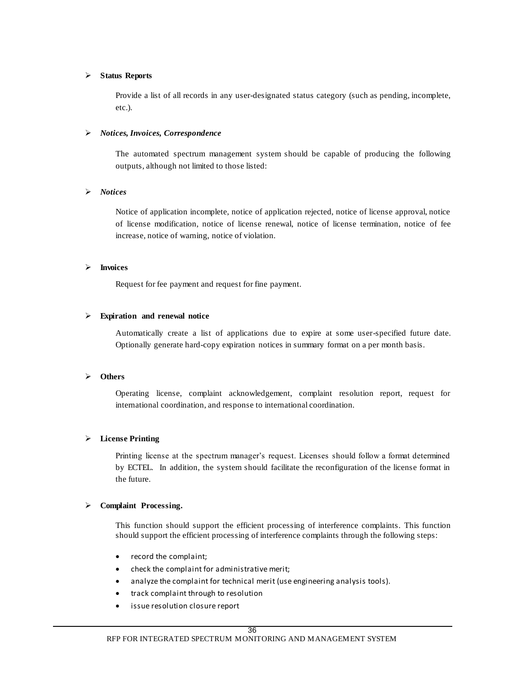#### **Status Reports**

Provide a list of all records in any user-designated status category (such as pending, incomplete, etc.).

#### *Notices, Invoices, Correspondence*

The automated spectrum management system should be capable of producing the following outputs, although not limited to those listed:

#### *Notices*

Notice of application incomplete, notice of application rejected, notice of license approval, notice of license modification, notice of license renewal, notice of license termination, notice of fee increase, notice of warning, notice of violation.

#### **Invoices**

Request for fee payment and request for fine payment.

#### **Expiration and renewal notice**

Automatically create a list of applications due to expire at some user-specified future date. Optionally generate hard-copy expiration notices in summary format on a per month basis.

#### **Others**

Operating license, complaint acknowledgement, complaint resolution report, request for international coordination, and response to international coordination.

#### **License Printing**

Printing license at the spectrum manager's request. Licenses should follow a format determined by ECTEL. In addition, the system should facilitate the reconfiguration of the license format in the future.

#### **Complaint Processing.**

This function should support the efficient processing of interference complaints. This function should support the efficient processing of interference complaints through the following steps:

- record the complaint;
- check the complaint for administrative merit;
- analyze the complaint for technical merit (use engineering analysis tools).
- track complaint through to resolution
- issue resolution closure report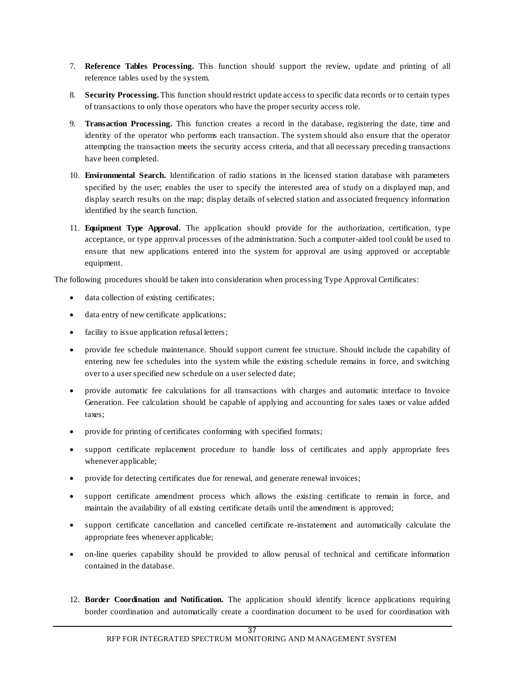- 7. **Reference Tables Processing.** This function should support the review, update and printing of all reference tables used by the system.
- 8. **Security Processing.** This function should restrict update access to specific data records or to certain types of transactions to only those operators who have the proper security access role.
- 9. **Transaction Processing.** This function creates a record in the database, registering the date, time and identity of the operator who performs each transaction. The system should also ensure that the operator attempting the transaction meets the security access criteria, and that all necessary precedin g transactions have been completed.
- 10. **Environmental Search.** Identification of radio stations in the licensed station database with parameters specified by the user; enables the user to specify the interested area of study on a displayed map, and display search results on the map; display details of selected station and associated frequency information identified by the search function.
- 11. **Equipment Type Approval.** The application should provide for the authorization, certification, type acceptance, or type approval processes of the administration. Such a computer-aided tool could be used to ensure that new applications entered into the system for approval are using approved or acceptable equipment.

The following procedures should be taken into consideration when processing Type Approval Certificates:

- data collection of existing certificates;
- data entry of new certificate applications;
- facility to issue application refusal letters;
- provide fee schedule maintenance. Should support current fee structure. Should include the capability of entering new fee schedules into the system while the existing schedule remains in force, and switching over to a user specified new schedule on a user selected date;
- provide automatic fee calculations for all transactions with charges and automatic interface to Invoice Generation. Fee calculation should be capable of applying and accounting for sales taxes or value added taxes;
- provide for printing of certificates conforming with specified formats;
- support certificate replacement procedure to handle loss of certificates and apply appropriate fees whenever applicable;
- provide for detecting certificates due for renewal, and generate renewal invoices;
- support certificate amendment process which allows the existing certificate to remain in force, and maintain the availability of all existing certificate details until the amendment is approved;
- support certificate cancellation and cancelled certificate re-instatement and automatically calculate the appropriate fees whenever applicable;
- on-line queries capability should be provided to allow perusal of technical and certificate information contained in the database.
- 12. **Border Coordination and Notification.** The application should identify licence applications requiring border coordination and automatically create a coordination document to be used for coordination with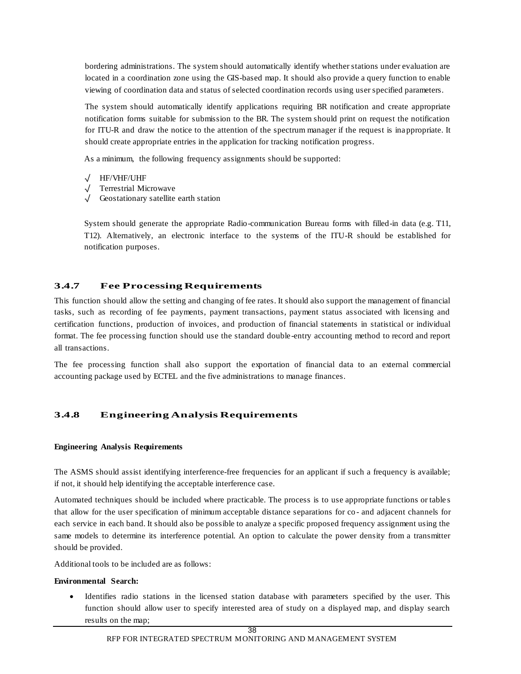bordering administrations. The system should automatically identify whether stations under evaluation are located in a coordination zone using the GIS-based map. It should also provide a query function to enable viewing of coordination data and status of selected coordination records using user specified parameters.

The system should automatically identify applications requiring BR notification and create appropriate notification forms suitable for submission to the BR. The system should print on request the notification for ITU-R and draw the notice to the attention of the spectrum manager if the request is inappropriate. It should create appropriate entries in the application for tracking notification progress.

As a minimum, the following frequency assignments should be supported:

- √ HF/VHF/UHF
- √ Terrestrial Microwave
- √ Geostationary satellite earth station

System should generate the appropriate Radio-communication Bureau forms with filled-in data (e.g. T11, T12). Alternatively, an electronic interface to the systems of the ITU-R should be established for notification purposes.

# **3.4.7 Fee Processing Requirements**

This function should allow the setting and changing of fee rates. It should also support the management of financial tasks, such as recording of fee payments, payment transactions, payment status associated with licensing and certification functions, production of invoices, and production of financial statements in statistical or individual format. The fee processing function should use the standard double-entry accounting method to record and report all transactions.

The fee processing function shall also support the exportation of financial data to an external commercial accounting package used by ECTEL and the five administrations to manage finances.

# **3.4.8 Engineering Analysis Requirements**

#### **Engineering Analysis Requirements**

The ASMS should assist identifying interference-free frequencies for an applicant if such a frequency is available; if not, it should help identifying the acceptable interference case.

Automated techniques should be included where practicable. The process is to use appropriate functions or table s that allow for the user specification of minimum acceptable distance separations for co - and adjacent channels for each service in each band. It should also be possible to analyze a specific proposed frequency assignment using the same models to determine its interference potential. An option to calculate the power density from a transmitter should be provided.

Additional tools to be included are as follows:

#### **Environmental Search:**

 Identifies radio stations in the licensed station database with parameters specified by the user. This function should allow user to specify interested area of study on a displayed map, and display search results on the map;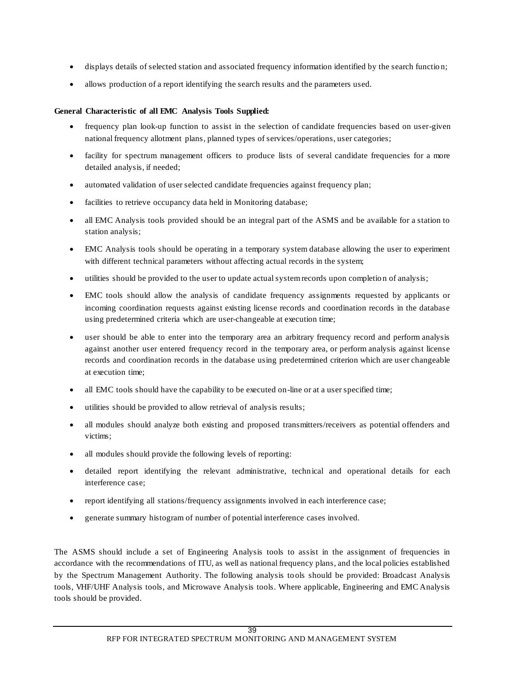- displays details of selected station and associated frequency information identified by the search functio n;
- allows production of a report identifying the search results and the parameters used.

### **General Characteristic of all EMC Analysis Tools Supplied:**

- frequency plan look-up function to assist in the selection of candidate frequencies based on user-given national frequency allotment plans, planned types of services/operations, user categories;
- facility for spectrum management officers to produce lists of several candidate frequencies for a more detailed analysis, if needed;
- automated validation of user selected candidate frequencies against frequency plan;
- facilities to retrieve occupancy data held in Monitoring database;
- all EMC Analysis tools provided should be an integral part of the ASMS and be available for a station to station analysis;
- EMC Analysis tools should be operating in a temporary system database allowing the user to experiment with different technical parameters without affecting actual records in the system;
- utilities should be provided to the user to update actual system records upon completio n of analysis;
- EMC tools should allow the analysis of candidate frequency assignments requested by applicants or incoming coordination requests against existing license records and coordination records in the database using predetermined criteria which are user-changeable at execution time;
- user should be able to enter into the temporary area an arbitrary frequency record and perform analysis against another user entered frequency record in the temporary area, or perform analysis against license records and coordination records in the database using predetermined criterion which are user changeable at execution time;
- all EMC tools should have the capability to be executed on-line or at a user specified time;
- utilities should be provided to allow retrieval of analysis results;
- all modules should analyze both existing and proposed transmitters/receivers as potential offenders and victims;
- all modules should provide the following levels of reporting:
- detailed report identifying the relevant administrative, technical and operational details for each interference case;
- report identifying all stations/frequency assignments involved in each interference case;
- generate summary histogram of number of potential interference cases involved.

The ASMS should include a set of Engineering Analysis tools to assist in the assignment of frequencies in accordance with the recommendations of ITU, as well as national frequency plans, and the local policies established by the Spectrum Management Authority. The following analysis tools should be provided: Broadcast Analysis tools, VHF/UHF Analysis tools, and Microwave Analysis tools. Where applicable, Engineering and EMC Analysis tools should be provided.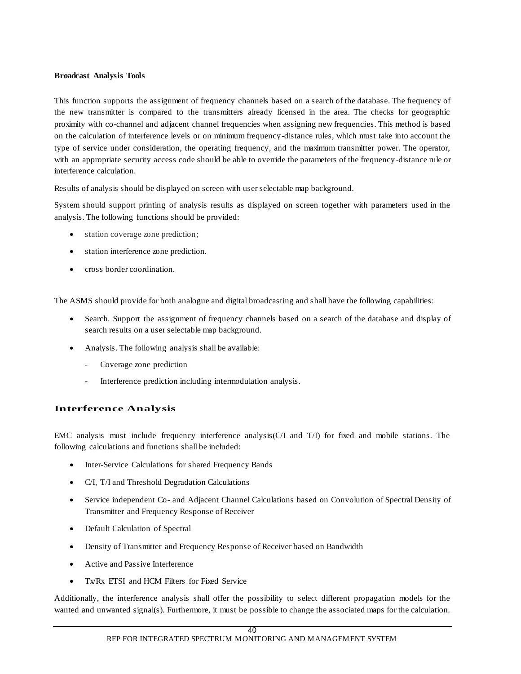#### **Broadcast Analysis Tools**

This function supports the assignment of frequency channels based on a search of the database. The frequency of the new transmitter is compared to the transmitters already licensed in the area. The checks for geographic proximity with co-channel and adjacent channel frequencies when assigning new frequencies. This method is based on the calculation of interference levels or on minimum frequency-distance rules, which must take into account the type of service under consideration, the operating frequency, and the maximum transmitter power. The operator, with an appropriate security access code should be able to override the parameters of the frequency -distance rule or interference calculation.

Results of analysis should be displayed on screen with user selectable map background.

System should support printing of analysis results as displayed on screen together with parameters used in the analysis. The following functions should be provided:

- station coverage zone prediction;
- station interference zone prediction.
- cross border coordination.

The ASMS should provide for both analogue and digital broadcasting and shall have the following capabilities:

- Search. Support the assignment of frequency channels based on a search of the database and display of search results on a user selectable map background.
- Analysis. The following analysis shall be available:
	- Coverage zone prediction
	- Interference prediction including intermodulation analysis.

# **Interference Analysis**

EMC analysis must include frequency interference analysis(C/I and T/I) for fixed and mobile stations. The following calculations and functions shall be included:

- Inter-Service Calculations for shared Frequency Bands
- C/I, T/I and Threshold Degradation Calculations
- Service independent Co- and Adjacent Channel Calculations based on Convolution of Spectral Density of Transmitter and Frequency Response of Receiver
- Default Calculation of Spectral
- Density of Transmitter and Frequency Response of Receiver based on Bandwidth
- Active and Passive Interference
- Tx/Rx ETSI and HCM Filters for Fixed Service

Additionally, the interference analysis shall offer the possibility to select different propagation models for the wanted and unwanted signal(s). Furthermore, it must be possible to change the associated maps for the calculation.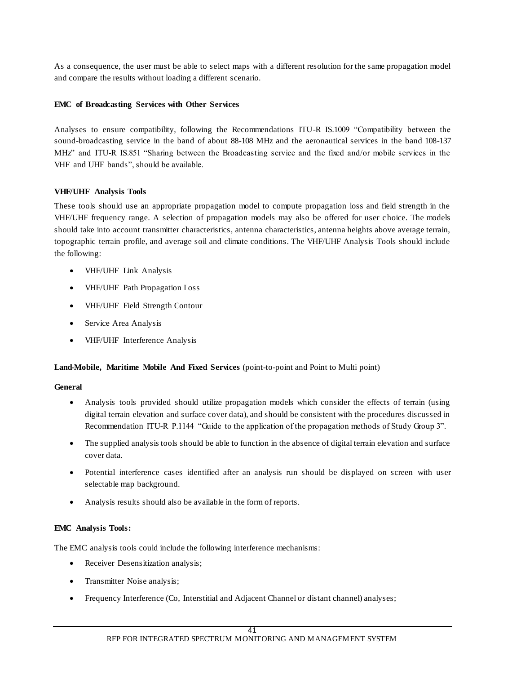As a consequence, the user must be able to select maps with a different resolution for the same propagation model and compare the results without loading a different scenario.

### **EMC of Broadcasting Services with Other Services**

Analyses to ensure compatibility, following the Recommendations ITU-R IS.1009 "Compatibility between the sound-broadcasting service in the band of about 88-108 MHz and the aeronautical services in the band 108-137 MHz" and ITU-R IS.851 "Sharing between the Broadcasting service and the fixed and/or mobile services in the VHF and UHF bands", should be available.

### **VHF/UHF Analysis Tools**

These tools should use an appropriate propagation model to compute propagation loss and field strength in the VHF/UHF frequency range. A selection of propagation models may also be offered for user choice. The models should take into account transmitter characteristics, antenna characteristics, antenna heights above average terrain, topographic terrain profile, and average soil and climate conditions. The VHF/UHF Analysis Tools should include the following:

- VHF/UHF Link Analysis
- VHF/UHF Path Propagation Loss
- VHF/UHF Field Strength Contour
- Service Area Analysis
- VHF/UHF Interference Analysis

#### **Land-Mobile, Maritime Mobile And Fixed Services** (point-to-point and Point to Multi point)

#### **General**

- Analysis tools provided should utilize propagation models which consider the effects of terrain (using digital terrain elevation and surface cover data), and should be consistent with the procedures discussed in Recommendation ITU-R P.1144 "Guide to the application of the propagation methods of Study Group 3".
- The supplied analysis tools should be able to function in the absence of digital terrain elevation and surface cover data.
- Potential interference cases identified after an analysis run should be displayed on screen with user selectable map background.
- Analysis results should also be available in the form of reports.

#### **EMC Analysis Tools:**

The EMC analysis tools could include the following interference mechanisms:

- Receiver Desensitization analysis;
- Transmitter Noise analysis;
- Frequency Interference (Co, Interstitial and Adjacent Channel or distant channel) analyses;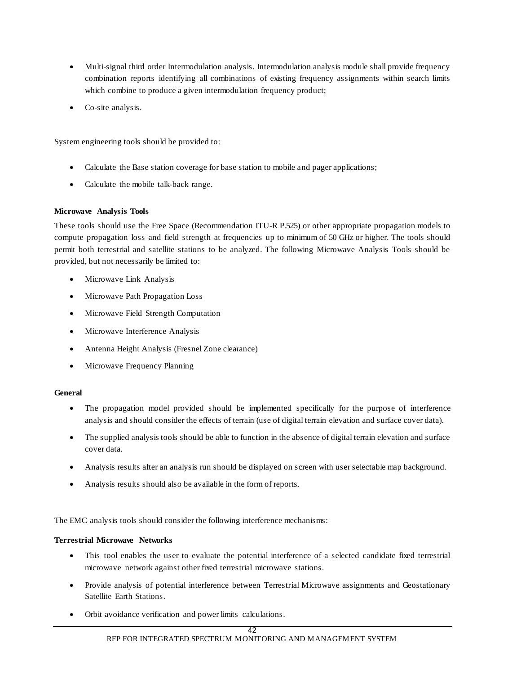- Multi-signal third order Intermodulation analysis. Intermodulation analysis module shall provide frequency combination reports identifying all combinations of existing frequency assignments within search limits which combine to produce a given intermodulation frequency product;
- Co-site analysis.

System engineering tools should be provided to:

- Calculate the Base station coverage for base station to mobile and pager applications;
- Calculate the mobile talk-back range.

#### **Microwave Analysis Tools**

These tools should use the Free Space (Recommendation ITU-R P.525) or other appropriate propagation models to compute propagation loss and field strength at frequencies up to minimum of 50 GHz or higher. The tools should permit both terrestrial and satellite stations to be analyzed. The following Microwave Analysis Tools should be provided, but not necessarily be limited to:

- Microwave Link Analysis
- Microwave Path Propagation Loss
- Microwave Field Strength Computation
- Microwave Interference Analysis
- Antenna Height Analysis (Fresnel Zone clearance)
- Microwave Frequency Planning

#### **General**

- The propagation model provided should be implemented specifically for the purpose of interference analysis and should consider the effects of terrain (use of digital terrain elevation and surface cover data).
- The supplied analysis tools should be able to function in the absence of digital terrain elevation and surface cover data.
- Analysis results after an analysis run should be displayed on screen with user selectable map background.
- Analysis results should also be available in the form of reports.

The EMC analysis tools should consider the following interference mechanisms:

#### **Terrestrial Microwave Networks**

- This tool enables the user to evaluate the potential interference of a selected candidate fixed terrestrial microwave network against other fixed terrestrial microwave stations.
- Provide analysis of potential interference between Terrestrial Microwave assignments and Geostationary Satellite Earth Stations.
- Orbit avoidance verification and power limits calculations.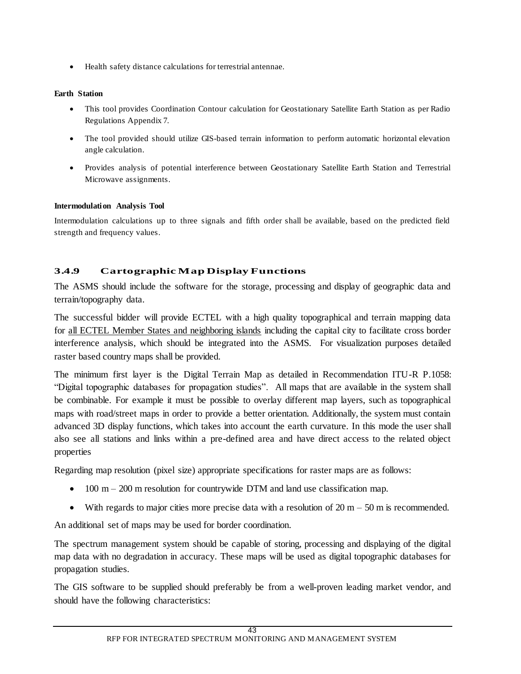Health safety distance calculations for terrestrial antennae.

# **Earth Station**

- This tool provides Coordination Contour calculation for Geostationary Satellite Earth Station as per Radio Regulations Appendix 7.
- The tool provided should utilize GIS-based terrain information to perform automatic horizontal elevation angle calculation.
- Provides analysis of potential interference between Geostationary Satellite Earth Station and Terrestrial Microwave assignments.

### **Intermodulation Analysis Tool**

Intermodulation calculations up to three signals and fifth order shall be available, based on the predicted field strength and frequency values.

# **3.4.9 Cartographic Map Display Functions**

The ASMS should include the software for the storage, processing and display of geographic data and terrain/topography data.

The successful bidder will provide ECTEL with a high quality topographical and terrain mapping data for all ECTEL Member States and neighboring islands including the capital city to facilitate cross border interference analysis, which should be integrated into the ASMS. For visualization purposes detailed raster based country maps shall be provided.

The minimum first layer is the Digital Terrain Map as detailed in Recommendation ITU-R P.1058: "Digital topographic databases for propagation studies". All maps that are available in the system shall be combinable. For example it must be possible to overlay different map layers, such as topographical maps with road/street maps in order to provide a better orientation. Additionally, the system must contain advanced 3D display functions, which takes into account the earth curvature. In this mode the user shall also see all stations and links within a pre-defined area and have direct access to the related object properties

Regarding map resolution (pixel size) appropriate specifications for raster maps are as follows:

- $\bullet$  100 m 200 m resolution for countrywide DTM and land use classification map.
- With regards to major cities more precise data with a resolution of  $20 \text{ m} 50 \text{ m}$  is recommended.

An additional set of maps may be used for border coordination.

The spectrum management system should be capable of storing, processing and displaying of the digital map data with no degradation in accuracy. These maps will be used as digital topographic databases for propagation studies.

The GIS software to be supplied should preferably be from a well-proven leading market vendor, and should have the following characteristics: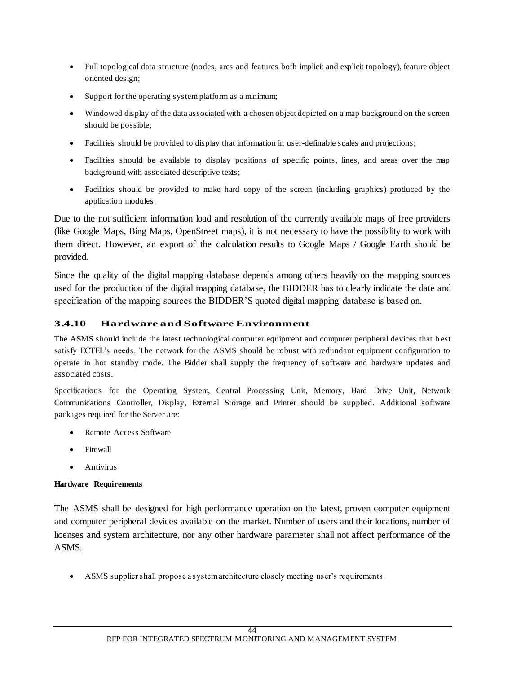- Full topological data structure (nodes, arcs and features both implicit and explicit topology), feature object oriented design;
- Support for the operating system platform as a minimum;
- Windowed display of the data associated with a chosen object depicted on a map background on the screen should be possible;
- Facilities should be provided to display that information in user-definable scales and projections;
- Facilities should be available to display positions of specific points, lines, and areas over the map background with associated descriptive texts;
- Facilities should be provided to make hard copy of the screen (including graphics) produced by the application modules.

Due to the not sufficient information load and resolution of the currently available maps of free providers (like Google Maps, Bing Maps, OpenStreet maps), it is not necessary to have the possibility to work with them direct. However, an export of the calculation results to Google Maps / Google Earth should be provided.

Since the quality of the digital mapping database depends among others heavily on the mapping sources used for the production of the digital mapping database, the BIDDER has to clearly indicate the date and specification of the mapping sources the BIDDER'S quoted digital mapping database is based on.

# **3.4.10 Hardware and Software Environment**

The ASMS should include the latest technological computer equipment and computer peripheral devices that b est satisfy ECTEL's needs. The network for the ASMS should be robust with redundant equipment configuration to operate in hot standby mode. The Bidder shall supply the frequency of software and hardware updates and associated costs.

Specifications for the Operating System, Central Processing Unit, Memory, Hard Drive Unit, Network Communications Controller, Display, External Storage and Printer should be supplied. Additional software packages required for the Server are:

- Remote Access Software
- Firewall
- Antivirus

# **Hardware Requirements**

The ASMS shall be designed for high performance operation on the latest, proven computer equipment and computer peripheral devices available on the market. Number of users and their locations, number of licenses and system architecture, nor any other hardware parameter shall not affect performance of the ASMS.

ASMS supplier shall propose a system architecture closely meeting user's requirements.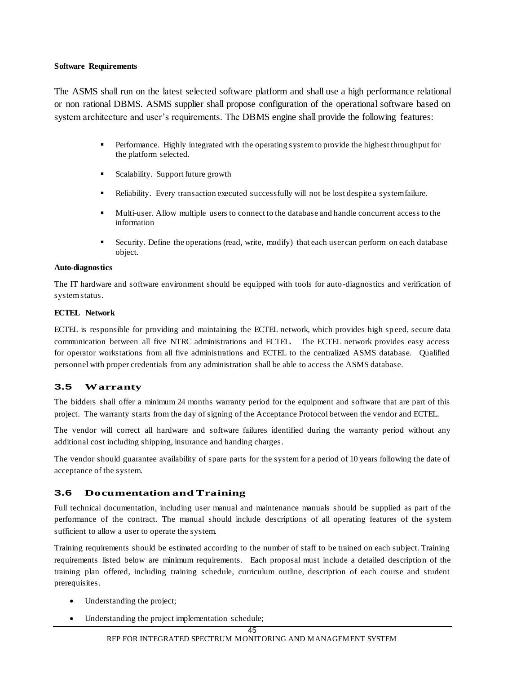#### **Software Requirements**

The ASMS shall run on the latest selected software platform and shall use a high performance relational or non rational DBMS. ASMS supplier shall propose configuration of the operational software based on system architecture and user's requirements. The DBMS engine shall provide the following features:

- **Performance.** Highly integrated with the operating system to provide the highest throughput for the platform selected.
- Scalability. Support future growth
- Reliability. Every transaction executed successfully will not be lost despite a system failure.
- Multi-user. Allow multiple users to connect to the database and handle concurrent access to the information
- Security. Define the operations (read, write, modify) that each user can perform on each database object.

#### **Auto-diagnostics**

The IT hardware and software environment should be equipped with tools for auto -diagnostics and verification of system status.

#### **ECTEL Network**

ECTEL is responsible for providing and maintaining the ECTEL network, which provides high speed, secure data communication between all five NTRC administrations and ECTEL. The ECTEL network provides easy access for operator workstations from all five administrations and ECTEL to the centralized ASMS database. Qualified personnel with proper credentials from any administration shall be able to access the ASMS database.

# **3.5 Warranty**

The bidders shall offer a minimum 24 months warranty period for the equipment and software that are part of this project. The warranty starts from the day of signing of the Acceptance Protocol between the vendor and ECTEL.

The vendor will correct all hardware and software failures identified during the warranty period without any additional cost including shipping, insurance and handing charges.

The vendor should guarantee availability of spare parts for the system for a period of 10 years following the date of acceptance of the system.

# **3.6 Documentation and Training**

Full technical documentation, including user manual and maintenance manuals should be supplied as part of the performance of the contract. The manual should include descriptions of all operating features of the system sufficient to allow a user to operate the system.

Training requirements should be estimated according to the number of staff to be trained on each subject. Training requirements listed below are minimum requirements. Each proposal must include a detailed description of the training plan offered, including training schedule, curriculum outline, description of each course and student prerequisites.

- Understanding the project;
- Understanding the project implementation schedule;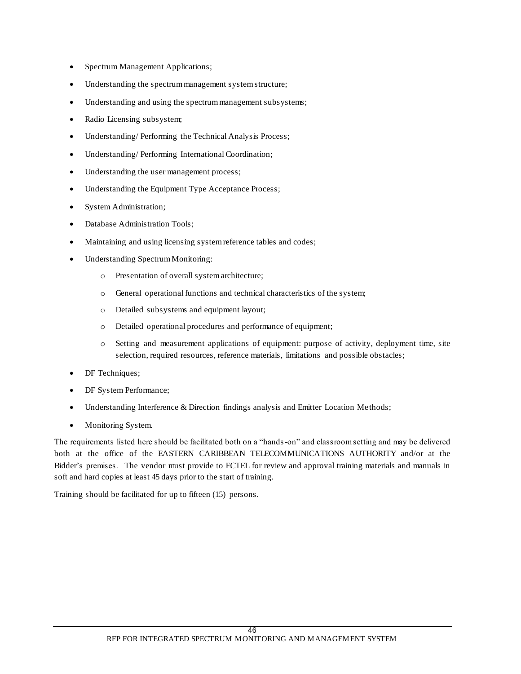- Spectrum Management Applications;
- Understanding the spectrum management system structure;
- Understanding and using the spectrum management subsystems;
- Radio Licensing subsystem;
- Understanding/ Performing the Technical Analysis Process;
- Understanding/ Performing International Coordination;
- Understanding the user management process;
- Understanding the Equipment Type Acceptance Process;
- System Administration;
- Database Administration Tools;
- Maintaining and using licensing system reference tables and codes;
- Understanding Spectrum Monitoring:
	- o Presentation of overall system architecture;
	- o General operational functions and technical characteristics of the system;
	- o Detailed subsystems and equipment layout;
	- o Detailed operational procedures and performance of equipment;
	- o Setting and measurement applications of equipment: purpose of activity, deployment time, site selection, required resources, reference materials, limitations and possible obstacles;
- DF Techniques;
- DF System Performance;
- Understanding Interference & Direction findings analysis and Emitter Location Methods;
- Monitoring System.

The requirements listed here should be facilitated both on a "hands-on" and classroom setting and may be delivered both at the office of the EASTERN CARIBBEAN TELECOMMUNICATIONS AUTHORITY and/or at the Bidder's premises. The vendor must provide to ECTEL for review and approval training materials and manuals in soft and hard copies at least 45 days prior to the start of training.

Training should be facilitated for up to fifteen (15) persons.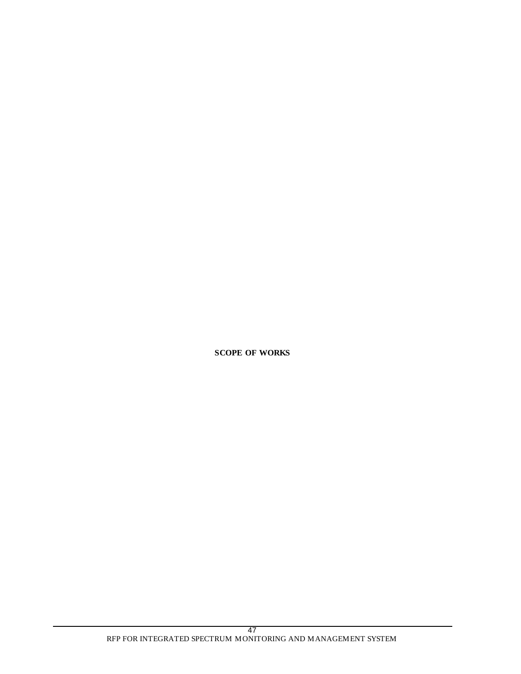**SCOPE OF WORKS**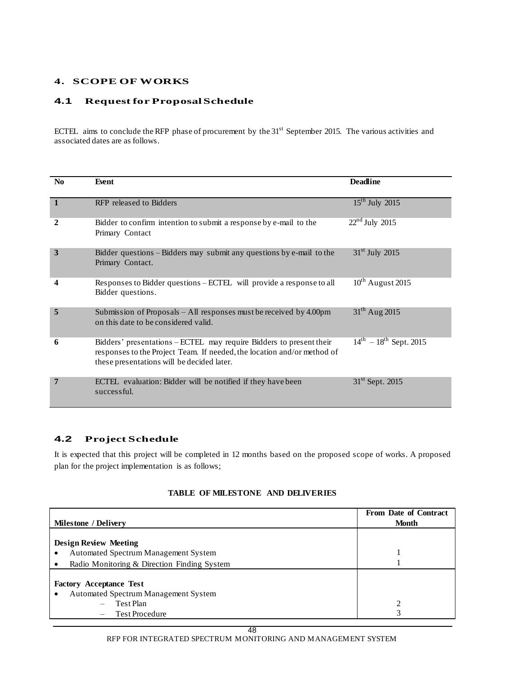# **4. SCOPE OF WORKS**

### **4.1 Request for Proposal Schedule**

ECTEL aims to conclude the RFP phase of procurement by the 31<sup>st</sup> September 2015. The various activities and associated dates are as follows.

| N <sub>0</sub> | Event                                                                                                                                                                                        | <b>Deadline</b>                |
|----------------|----------------------------------------------------------------------------------------------------------------------------------------------------------------------------------------------|--------------------------------|
| $\mathbf{1}$   | RFP released to Bidders                                                                                                                                                                      | $15^{\text{th}}$ July 2015     |
| 2              | Bidder to confirm intention to submit a response by e-mail to the<br>Primary Contact                                                                                                         | $22nd$ July 2015               |
| 3              | Bidder questions – Bidders may submit any questions by e-mail to the<br>Primary Contact.                                                                                                     | $31st$ July 2015               |
| 4              | Responses to Bidder questions – ECTEL will provide a response to all<br>Bidder questions.                                                                                                    | $10^{th}$ August 2015          |
| 5              | Submission of Proposals $-$ All responses must be received by 4.00pm<br>on this date to be considered valid.                                                                                 | $31^{th}$ Aug 2015             |
| 6              | Bidders' presentations - ECTEL may require Bidders to present their<br>responses to the Project Team. If needed, the location and/or method of<br>these presentations will be decided later. | $14^{th} - 18^{th}$ Sept. 2015 |
| 7              | <b>ECTEL</b> evaluation: Bidder will be notified if they have been<br>successful.                                                                                                            | $31st$ Sept. 2015              |

# **4.2 Project Schedule**

It is expected that this project will be completed in 12 months based on the proposed scope of works. A proposed plan for the project implementation is as follows;

#### **TABLE OF MILESTONE AND DELIVERIES**

|                                             | From Date of Contract |
|---------------------------------------------|-----------------------|
| <b>Milestone</b> / Delivery                 | <b>Month</b>          |
|                                             |                       |
| <b>Design Review Meeting</b>                |                       |
| Automated Spectrum Management System        |                       |
| Radio Monitoring & Direction Finding System |                       |
|                                             |                       |
| <b>Factory Acceptance Test</b>              |                       |
| <b>Automated Spectrum Management System</b> |                       |
| Test Plan<br>$\overline{\phantom{a}}$       | っ                     |
| <b>Test Procedure</b>                       | 3                     |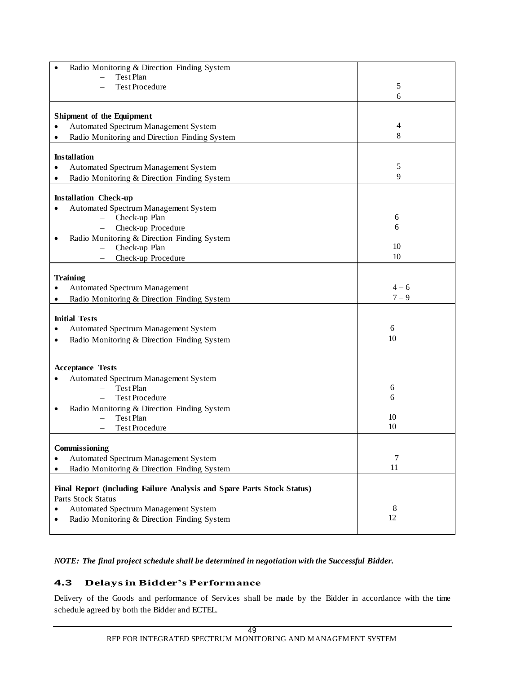| Radio Monitoring & Direction Finding System                            |                |
|------------------------------------------------------------------------|----------------|
| Test Plan                                                              |                |
| <b>Test Procedure</b>                                                  | 5              |
|                                                                        | 6              |
|                                                                        |                |
| Shipment of the Equipment<br>Automated Spectrum Management System      | $\overline{4}$ |
| Radio Monitoring and Direction Finding System                          | 8              |
|                                                                        |                |
| <b>Installation</b>                                                    |                |
| Automated Spectrum Management System                                   | 5              |
| Radio Monitoring & Direction Finding System                            | 9              |
|                                                                        |                |
| <b>Installation Check-up</b>                                           |                |
| Automated Spectrum Management System                                   |                |
| Check-up Plan                                                          | 6              |
| Check-up Procedure                                                     | 6              |
| Radio Monitoring & Direction Finding System                            |                |
| Check-up Plan                                                          | 10             |
| Check-up Procedure                                                     | 10             |
|                                                                        |                |
| <b>Training</b>                                                        | $4 - 6$        |
| <b>Automated Spectrum Management</b>                                   | $7 - 9$        |
| Radio Monitoring & Direction Finding System                            |                |
| <b>Initial Tests</b>                                                   |                |
| Automated Spectrum Management System                                   | 6              |
| Radio Monitoring & Direction Finding System                            | 10             |
|                                                                        |                |
| <b>Acceptance Tests</b>                                                |                |
| Automated Spectrum Management System                                   |                |
| Test Plan                                                              | 6              |
| <b>Test Procedure</b>                                                  | 6              |
| Radio Monitoring & Direction Finding System                            |                |
| Test Plan                                                              | 10             |
| <b>Test Procedure</b>                                                  | 10             |
|                                                                        |                |
| Commissioning                                                          |                |
| Automated Spectrum Management System                                   | 7<br>11        |
| Radio Monitoring & Direction Finding System                            |                |
| Final Report (including Failure Analysis and Spare Parts Stock Status) |                |
| Parts Stock Status                                                     |                |
| Automated Spectrum Management System                                   | 8              |
| Radio Monitoring & Direction Finding System                            | 12             |
|                                                                        |                |

*NOTE: The final project schedule shall be determined in negotiation with the Successful Bidder.*

# **4.3 Delays in Bidder's Performance**

Delivery of the Goods and performance of Services shall be made by the Bidder in accordance with the time schedule agreed by both the Bidder and ECTEL.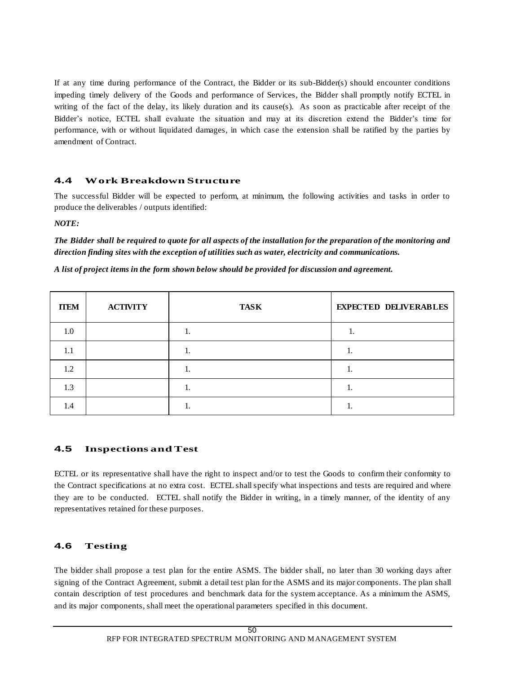If at any time during performance of the Contract, the Bidder or its sub-Bidder(s) should encounter conditions impeding timely delivery of the Goods and performance of Services, the Bidder shall promptly notify ECTEL in writing of the fact of the delay, its likely duration and its cause(s). As soon as practicable after receipt of the Bidder's notice, ECTEL shall evaluate the situation and may at its discretion extend the Bidder's time for performance, with or without liquidated damages, in which case the extension shall be ratified by the parties by amendment of Contract.

### **4.4 Work Breakdown Structure**

The successful Bidder will be expected to perform, at minimum, the following activities and tasks in order to produce the deliverables / outputs identified:

*NOTE:*

*The Bidder shall be required to quote for all aspects of the installation for the preparation of the monitoring and direction finding sites with the exception of utilities such as water, electricity and communications.* 

| <b>ITEM</b> | <b>ACTIVITY</b> | <b>TASK</b> | <b>EXPECTED DELIVERABLES</b> |
|-------------|-----------------|-------------|------------------------------|
| 1.0         |                 |             |                              |
|             |                 |             |                              |

*A list of project items in the form shown below should be provided for discussion and agreement.* 

 $1.2$  | 1.

 $1.3$  1. 1. 1.

1.4 | 1.

# **4.5 Inspections and Test**

ECTEL or its representative shall have the right to inspect and/or to test the Goods to confirm their conformity to the Contract specifications at no extra cost. ECTEL shall specify what inspections and tests are required and where they are to be conducted. ECTEL shall notify the Bidder in writing, in a timely manner, of the identity of any representatives retained for these purposes.

# **4.6 Testing**

The bidder shall propose a test plan for the entire ASMS. The bidder shall, no later than 30 working days after signing of the Contract Agreement, submit a detail test plan for the ASMS and its major components. The plan shall contain description of test procedures and benchmark data for the system acceptance. As a minimum the ASMS, and its major components, shall meet the operational parameters specified in this document.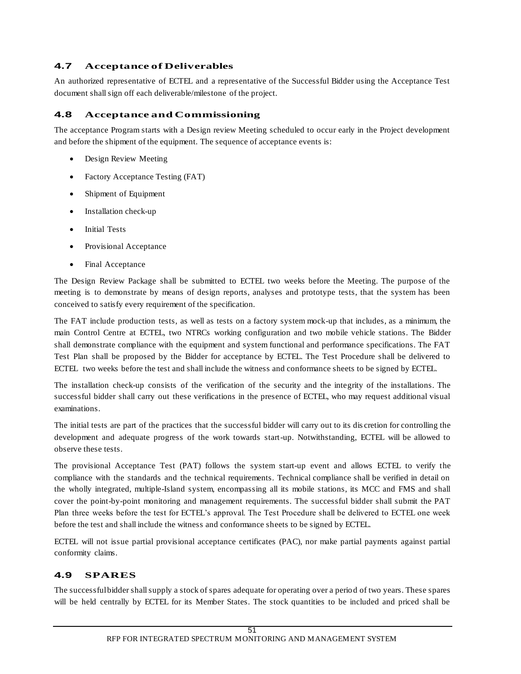# **4.7 Acceptance of Deliverables**

An authorized representative of ECTEL and a representative of the Successful Bidder using the Acceptance Test document shall sign off each deliverable/milestone of the project.

# **4.8 Acceptance and Commissioning**

The acceptance Program starts with a Design review Meeting scheduled to occur early in the Project development and before the shipment of the equipment. The sequence of acceptance events is:

- Design Review Meeting
- Factory Acceptance Testing (FAT)
- Shipment of Equipment
- Installation check-up
- Initial Tests
- Provisional Acceptance
- Final Acceptance

The Design Review Package shall be submitted to ECTEL two weeks before the Meeting. The purpose of the meeting is to demonstrate by means of design reports, analyses and prototype tests, that the system has been conceived to satisfy every requirement of the specification.

The FAT include production tests, as well as tests on a factory system mock-up that includes, as a minimum, the main Control Centre at ECTEL, two NTRCs working configuration and two mobile vehicle stations. The Bidder shall demonstrate compliance with the equipment and system functional and performance specifications. The FAT Test Plan shall be proposed by the Bidder for acceptance by ECTEL. The Test Procedure shall be delivered to ECTEL two weeks before the test and shall include the witness and conformance sheets to be signed by ECTEL.

The installation check-up consists of the verification of the security and the integrity of the installations. The successful bidder shall carry out these verifications in the presence of ECTEL, who may request additional visual examinations.

The initial tests are part of the practices that the successful bidder will carry out to its dis cretion for controlling the development and adequate progress of the work towards start-up. Notwithstanding, ECTEL will be allowed to observe these tests.

The provisional Acceptance Test (PAT) follows the system start-up event and allows ECTEL to verify the compliance with the standards and the technical requirements. Technical compliance shall be verified in detail on the wholly integrated, multiple-Island system, encompassing all its mobile stations, its MCC and FMS and shall cover the point-by-point monitoring and management requirements. The successful bidder shall submit the PAT Plan three weeks before the test for ECTEL's approval. The Test Procedure shall be delivered to ECTEL one week before the test and shall include the witness and conformance sheets to be signed by ECTEL.

ECTEL will not issue partial provisional acceptance certificates (PAC), nor make partial payments against partial conformity claims.

# **4.9 SPARES**

The successful bidder shall supply a stock of spares adequate for operating over a perio d of two years. These spares will be held centrally by ECTEL for its Member States. The stock quantities to be included and priced shall be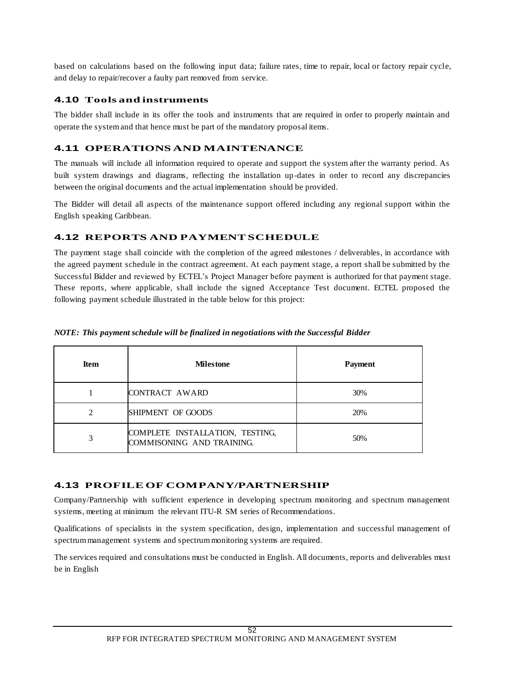based on calculations based on the following input data; failure rates, time to repair, local or factory repair cycle, and delay to repair/recover a faulty part removed from service.

# **4.10 Tools and instruments**

The bidder shall include in its offer the tools and instruments that are required in order to properly maintain and operate the system and that hence must be part of the mandatory proposal items.

# **4.11 OPERATIONS AND MAINTENANCE**

The manuals will include all information required to operate and support the system after the warranty period. As built system drawings and diagrams, reflecting the installation up-dates in order to record any discrepancies between the original documents and the actual implementation should be provided.

The Bidder will detail all aspects of the maintenance support offered including any regional support within the English speaking Caribbean.

# **4.12 REPORTS AND PAYMENT SCHEDULE**

The payment stage shall coincide with the completion of the agreed milestones / deliverables, in accordance with the agreed payment schedule in the contract agreement. At each payment stage, a report shall be submitted by the Successful Bidder and reviewed by ECTEL's Project Manager before payment is authorized for that payment stage. These reports, where applicable, shall include the signed Acceptance Test document. ECTEL proposed the following payment schedule illustrated in the table below for this project:

| <b>Item</b> | <b>Milestone</b>                                             | <b>Payment</b> |
|-------------|--------------------------------------------------------------|----------------|
|             | CONTRACT AWARD                                               | 30%            |
|             | SHIPMENT OF GOODS                                            | 20%            |
|             | COMPLETE INSTALLATION, TESTING,<br>COMMISONING AND TRAINING. | 50%            |

### *NOTE: This payment schedule will be finalized in negotiations with the Successful Bidder*

# **4.13 PROFILE OF COMPANY/PARTNERSHIP**

Company/Partnership with sufficient experience in developing spectrum monitoring and spectrum management systems, meeting at minimum the relevant ITU-R SM series of Recommendations.

Qualifications of specialists in the system specification, design, implementation and successful management of spectrum management systems and spectrum monitoring systems are required.

The services required and consultations must be conducted in English. All documents, reports and deliverables must be in English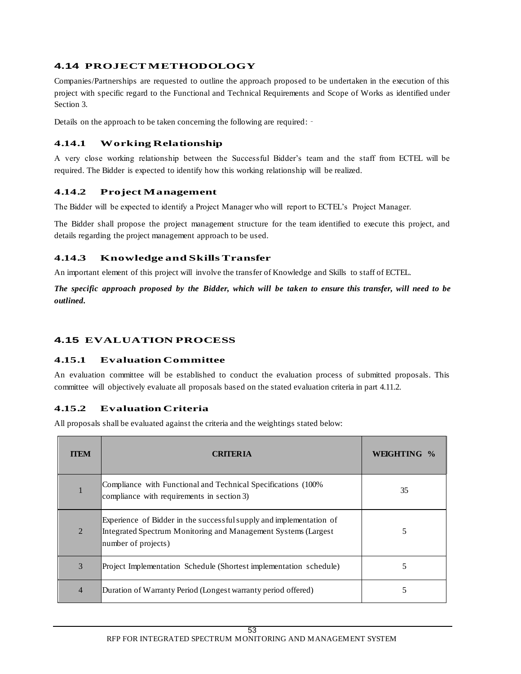# **4.14 PROJECT METHODOLOGY**

Companies/Partnerships are requested to outline the approach proposed to be undertaken in the execution of this project with specific regard to the Functional and Technical Requirements and Scope of Works as identified under Section 3.

Details on the approach to be taken concerning the following are required: -

# **4.14.1 Working Relationship**

A very close working relationship between the Successful Bidder's team and the staff from ECTEL will be required. The Bidder is expected to identify how this working relationship will be realized.

# **4.14.2 Project Management**

The Bidder will be expected to identify a Project Manager who will report to ECTEL's Project Manager.

The Bidder shall propose the project management structure for the team identified to execute this project, and details regarding the project management approach to be used.

# **4.14.3 Knowledge and Skills Transfer**

An important element of this project will involve the transfer of Knowledge and Skills to staff of ECTEL.

*The specific approach proposed by the Bidder, which will be taken to ensure this transfer, will need to be outlined.*

# **4.15 EVALUATION PROCESS**

# **4.15.1 Evaluation Committee**

An evaluation committee will be established to conduct the evaluation process of submitted proposals. This committee will objectively evaluate all proposals based on the stated evaluation criteria in part 4.11.2.

# **4.15.2 Evaluation Criteria**

All proposals shall be evaluated against the criteria and the weightings stated below:

| <b>TTEM</b>    | <b>CRITERIA</b>                                                                                                                                              | <b>WEIGHTING</b> |
|----------------|--------------------------------------------------------------------------------------------------------------------------------------------------------------|------------------|
|                | Compliance with Functional and Technical Specifications (100%)<br>compliance with requirements in section 3)                                                 | 35               |
| 2              | Experience of Bidder in the successful supply and implementation of<br>Integrated Spectrum Monitoring and Management Systems (Largest<br>number of projects) | 5                |
| 3              | Project Implementation Schedule (Shortest implementation schedule)                                                                                           | 5                |
| $\overline{4}$ | Duration of Warranty Period (Longest warranty period offered)                                                                                                | 5                |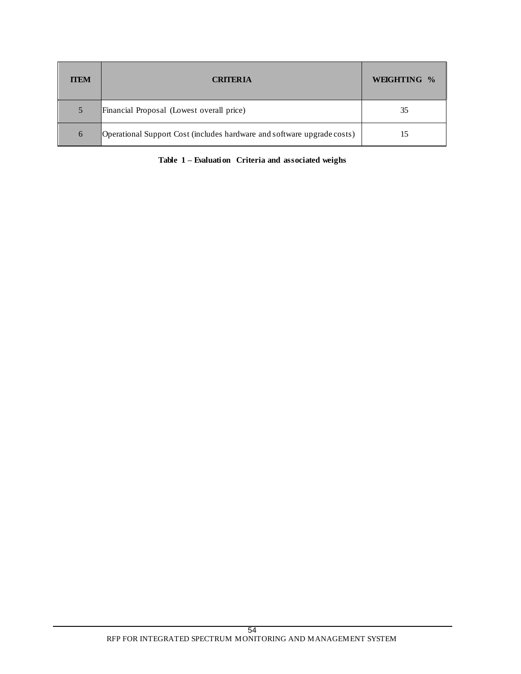| <b>TTEM</b> | <b>CRITERIA</b>                                                         | WEIGHTING % |
|-------------|-------------------------------------------------------------------------|-------------|
| 5           | Financial Proposal (Lowest overall price)                               | 35          |
| 6           | Operational Support Cost (includes hardware and software upgrade costs) |             |

**Table 1 – Evaluation Criteria and associated weighs**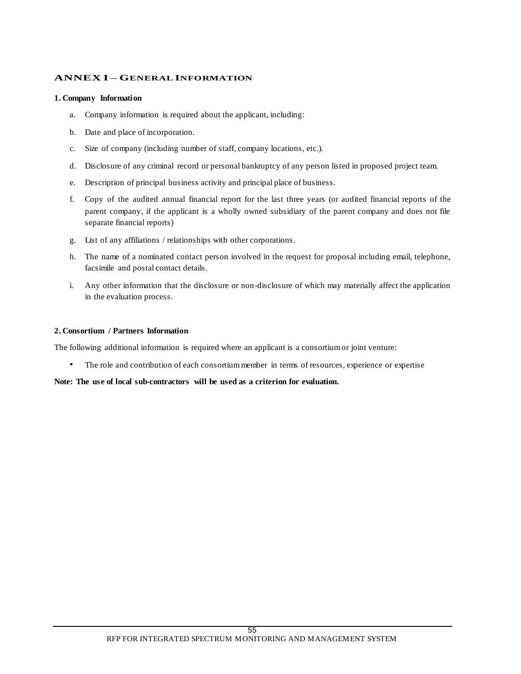### **ANNEX I – GENERAL INFORMATION**

#### **1. Company Information**

- a. Company information is required about the applicant, including:
- b. Date and place of incorporation.
- c. Size of company (including number of staff, company locations, etc.).
- d. Disclosure of any criminal record or personal bankruptcy of any person listed in proposed project team.
- e. Description of principal business activity and principal place of business.
- f. Copy of the audited annual financial report for the last three years (or audited financial reports of the parent company, if the applicant is a wholly owned subsidiary of the parent company and does not file separate financial reports)
- g. List of any affiliations / relationships with other corporations.
- h. The name of a nominated contact person involved in the request for proposal including email, telephone, facsimile and postal contact details.
- i. Any other information that the disclosure or non-disclosure of which may materially affect the application in the evaluation process.

#### **2. Consortium / Partners Information**

The following additional information is required where an applicant is a consortium or joint venture:

• The role and contribution of each consortium member in terms of resources, experience or expertise

#### **Note: The use of local sub-contractors will be used as a criterion for evaluation.**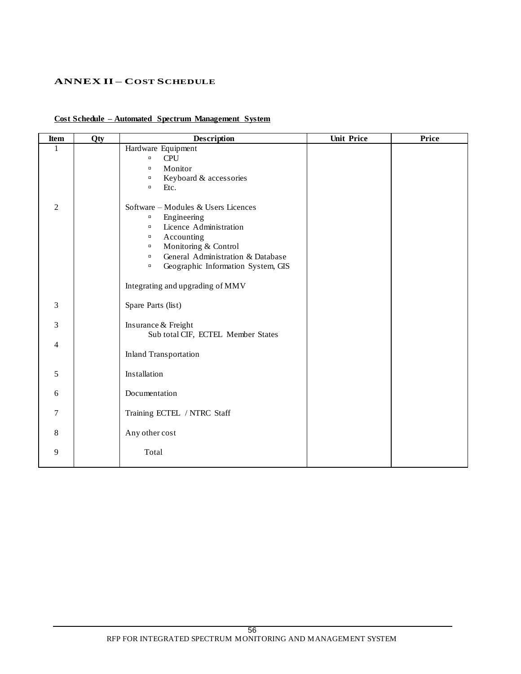# **ANNEX II – COST SCHEDULE**

# **Cost Schedule – Automated Spectrum Management System**

| <b>Item</b>    | Qty | <b>Description</b>                                                                                                                                                                                                                                                                            | <b>Unit Price</b> | Price |
|----------------|-----|-----------------------------------------------------------------------------------------------------------------------------------------------------------------------------------------------------------------------------------------------------------------------------------------------|-------------------|-------|
| $\mathbf{1}$   |     | Hardware Equipment<br><b>CPU</b><br>$\Box$<br>Monitor<br>$\Box$<br>Keyboard & accessories<br>$\Box$<br>Etc.<br>$\Box$                                                                                                                                                                         |                   |       |
| $\overline{2}$ |     | Software - Modules & Users Licences<br>Engineering<br>$\Box$<br>Licence Administration<br>$\Box$<br>Accounting<br>$\Box$<br>Monitoring & Control<br>$\Box$<br>General Administration & Database<br>$\Box$<br>Geographic Information System, GIS<br>$\Box$<br>Integrating and upgrading of MMV |                   |       |
| 3              |     | Spare Parts (list)                                                                                                                                                                                                                                                                            |                   |       |
| 3              |     | Insurance & Freight<br>Sub total CIF, ECTEL Member States                                                                                                                                                                                                                                     |                   |       |
| $\overline{4}$ |     | <b>Inland Transportation</b>                                                                                                                                                                                                                                                                  |                   |       |
| 5              |     | Installation                                                                                                                                                                                                                                                                                  |                   |       |
| 6              |     | Documentation                                                                                                                                                                                                                                                                                 |                   |       |
| $\tau$         |     | Training ECTEL / NTRC Staff                                                                                                                                                                                                                                                                   |                   |       |
| $\,8\,$        |     | Any other cost                                                                                                                                                                                                                                                                                |                   |       |
| 9              |     | Total                                                                                                                                                                                                                                                                                         |                   |       |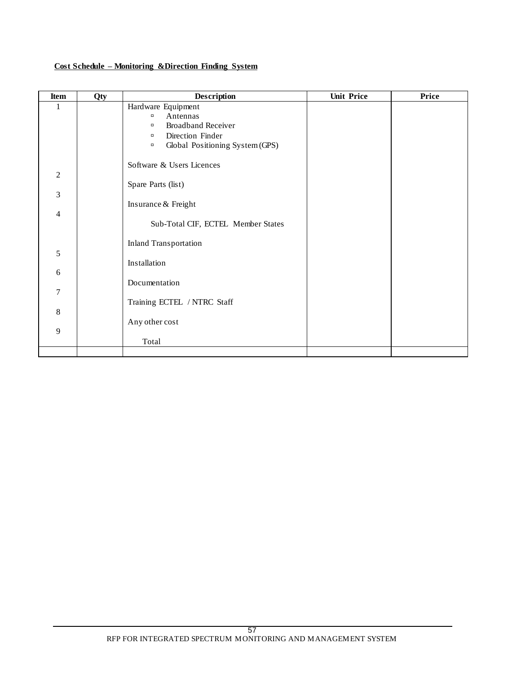| Cost Schedule – Monitoring & Direction Finding System |  |  |
|-------------------------------------------------------|--|--|
|                                                       |  |  |

| Item                                               | Qty | <b>Description</b>                                                                                                                                         | <b>Unit Price</b> | Price |
|----------------------------------------------------|-----|------------------------------------------------------------------------------------------------------------------------------------------------------------|-------------------|-------|
| $\mathbf{1}$                                       |     | Hardware Equipment<br>Antennas<br>$\Box$<br><b>Broadband Receiver</b><br>$\Box$<br>Direction Finder<br>$\Box$<br>Global Positioning System (GPS)<br>$\Box$ |                   |       |
| $\overline{2}$<br>$\mathfrak{Z}$<br>$\overline{4}$ |     | Software & Users Licences<br>Spare Parts (list)<br>Insurance & Freight<br>Sub-Total CIF, ECTEL Member States                                               |                   |       |
| 5<br>6<br>$\overline{7}$<br>8<br>9                 |     | <b>Inland Transportation</b><br>Installation<br>Documentation<br>Training ECTEL / NTRC Staff<br>Any other cost<br>Total                                    |                   |       |